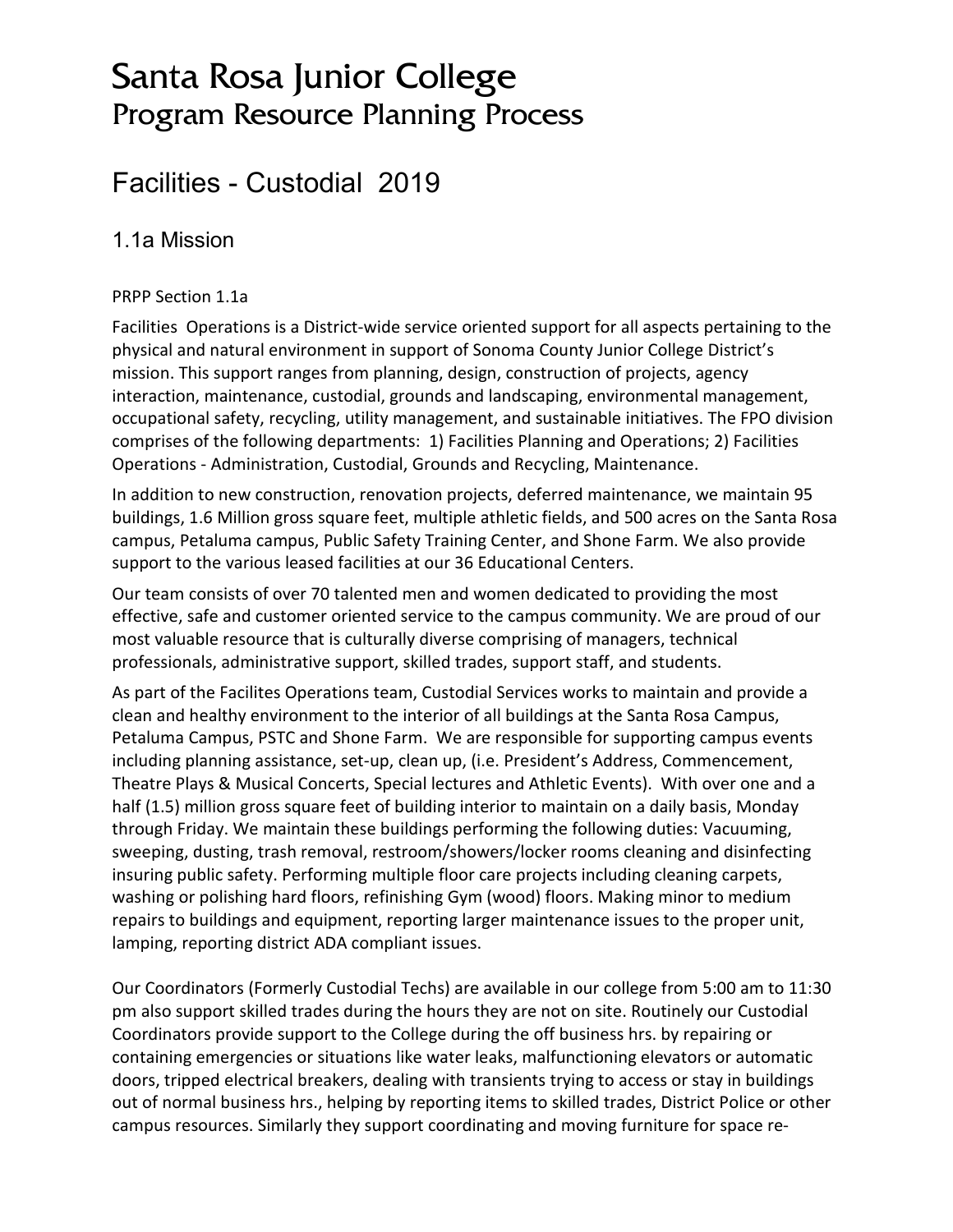# Santa Rosa Junior College Program Resource Planning Process

## Facilities - Custodial 2019

### 1.1a Mission

#### PRPP Section 1.1a

Facilities Operations is a District-wide service oriented support for all aspects pertaining to the physical and natural environment in support of Sonoma County Junior College District's mission. This support ranges from planning, design, construction of projects, agency interaction, maintenance, custodial, grounds and landscaping, environmental management, occupational safety, recycling, utility management, and sustainable initiatives. The FPO division comprises of the following departments: 1) Facilities Planning and Operations; 2) Facilities Operations - Administration, Custodial, Grounds and Recycling, Maintenance.

In addition to new construction, renovation projects, deferred maintenance, we maintain 95 buildings, 1.6 Million gross square feet, multiple athletic fields, and 500 acres on the Santa Rosa campus, Petaluma campus, Public Safety Training Center, and Shone Farm. We also provide support to the various leased facilities at our 36 Educational Centers.

Our team consists of over 70 talented men and women dedicated to providing the most effective, safe and customer oriented service to the campus community. We are proud of our most valuable resource that is culturally diverse comprising of managers, technical professionals, administrative support, skilled trades, support staff, and students.

As part of the Facilites Operations team, Custodial Services works to maintain and provide a clean and healthy environment to the interior of all buildings at the Santa Rosa Campus, Petaluma Campus, PSTC and Shone Farm. We are responsible for supporting campus events including planning assistance, set-up, clean up, (i.e. President's Address, Commencement, Theatre Plays & Musical Concerts, Special lectures and Athletic Events). With over one and a half (1.5) million gross square feet of building interior to maintain on a daily basis, Monday through Friday. We maintain these buildings performing the following duties: Vacuuming, sweeping, dusting, trash removal, restroom/showers/locker rooms cleaning and disinfecting insuring public safety. Performing multiple floor care projects including cleaning carpets, washing or polishing hard floors, refinishing Gym (wood) floors. Making minor to medium repairs to buildings and equipment, reporting larger maintenance issues to the proper unit, lamping, reporting district ADA compliant issues.

Our Coordinators (Formerly Custodial Techs) are available in our college from 5:00 am to 11:30 pm also support skilled trades during the hours they are not on site. Routinely our Custodial Coordinators provide support to the College during the off business hrs. by repairing or containing emergencies or situations like water leaks, malfunctioning elevators or automatic doors, tripped electrical breakers, dealing with transients trying to access or stay in buildings out of normal business hrs., helping by reporting items to skilled trades, District Police or other campus resources. Similarly they support coordinating and moving furniture for space re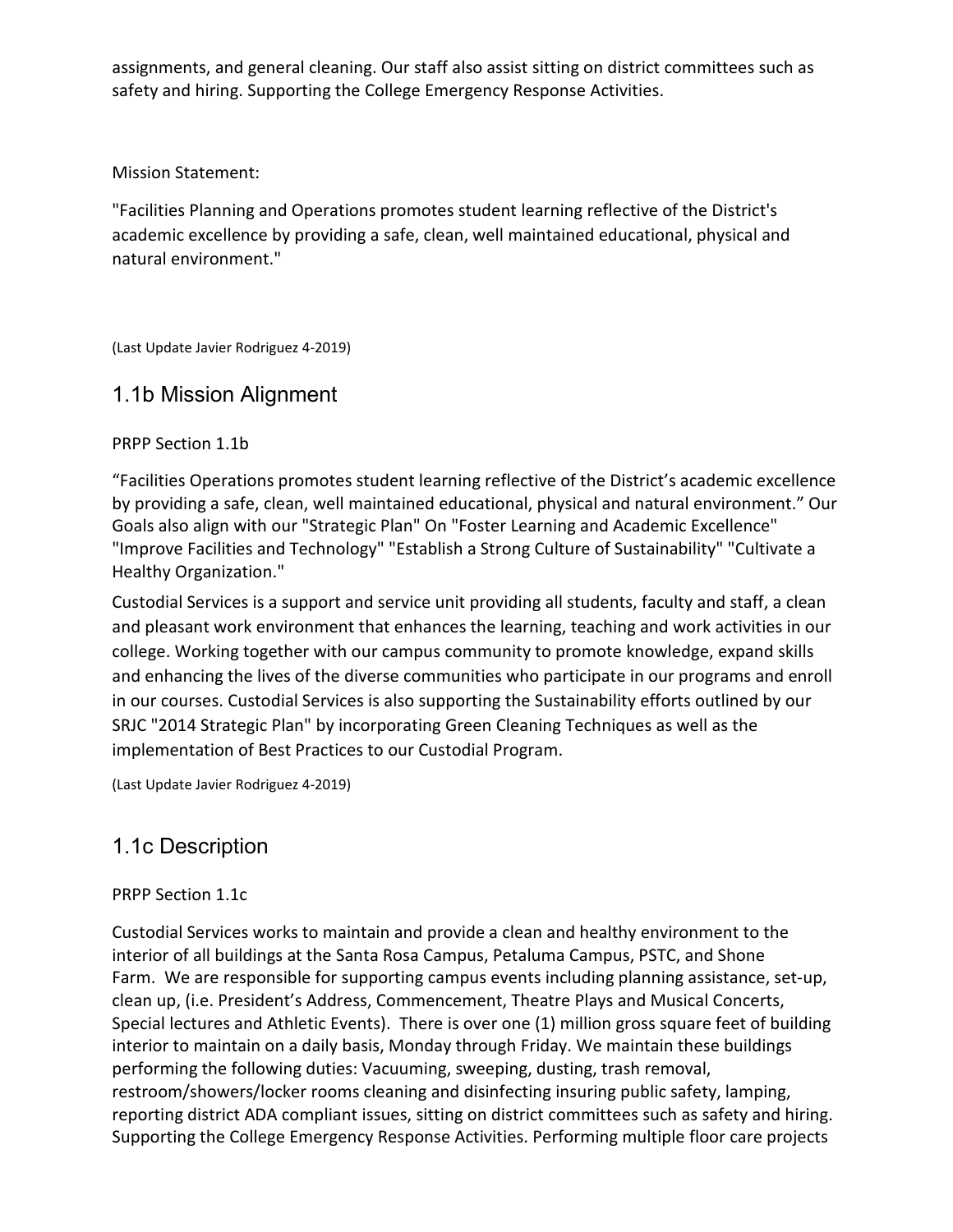assignments, and general cleaning. Our staff also assist sitting on district committees such as safety and hiring. Supporting the College Emergency Response Activities.

#### Mission Statement:

"Facilities Planning and Operations promotes student learning reflective of the District's academic excellence by providing a safe, clean, well maintained educational, physical and natural environment."

(Last Update Javier Rodriguez 4-2019)

### 1.1b Mission Alignment

#### PRPP Section 1.1b

"Facilities Operations promotes student learning reflective of the District's academic excellence by providing a safe, clean, well maintained educational, physical and natural environment." Our Goals also align with our "Strategic Plan" On "Foster Learning and Academic Excellence" "Improve Facilities and Technology" "Establish a Strong Culture of Sustainability" "Cultivate a Healthy Organization."

Custodial Services is a support and service unit providing all students, faculty and staff, a clean and pleasant work environment that enhances the learning, teaching and work activities in our college. Working together with our campus community to promote knowledge, expand skills and enhancing the lives of the diverse communities who participate in our programs and enroll in our courses. Custodial Services is also supporting the Sustainability efforts outlined by our SRJC "2014 Strategic Plan" by incorporating Green Cleaning Techniques as well as the implementation of Best Practices to our Custodial Program.

(Last Update Javier Rodriguez 4-2019)

## 1.1c Description

#### PRPP Section 1.1c

Custodial Services works to maintain and provide a clean and healthy environment to the interior of all buildings at the Santa Rosa Campus, Petaluma Campus, PSTC, and Shone Farm. We are responsible for supporting campus events including planning assistance, set-up, clean up, (i.e. President's Address, Commencement, Theatre Plays and Musical Concerts, Special lectures and Athletic Events). There is over one (1) million gross square feet of building interior to maintain on a daily basis, Monday through Friday. We maintain these buildings performing the following duties: Vacuuming, sweeping, dusting, trash removal, restroom/showers/locker rooms cleaning and disinfecting insuring public safety, lamping, reporting district ADA compliant issues, sitting on district committees such as safety and hiring. Supporting the College Emergency Response Activities. Performing multiple floor care projects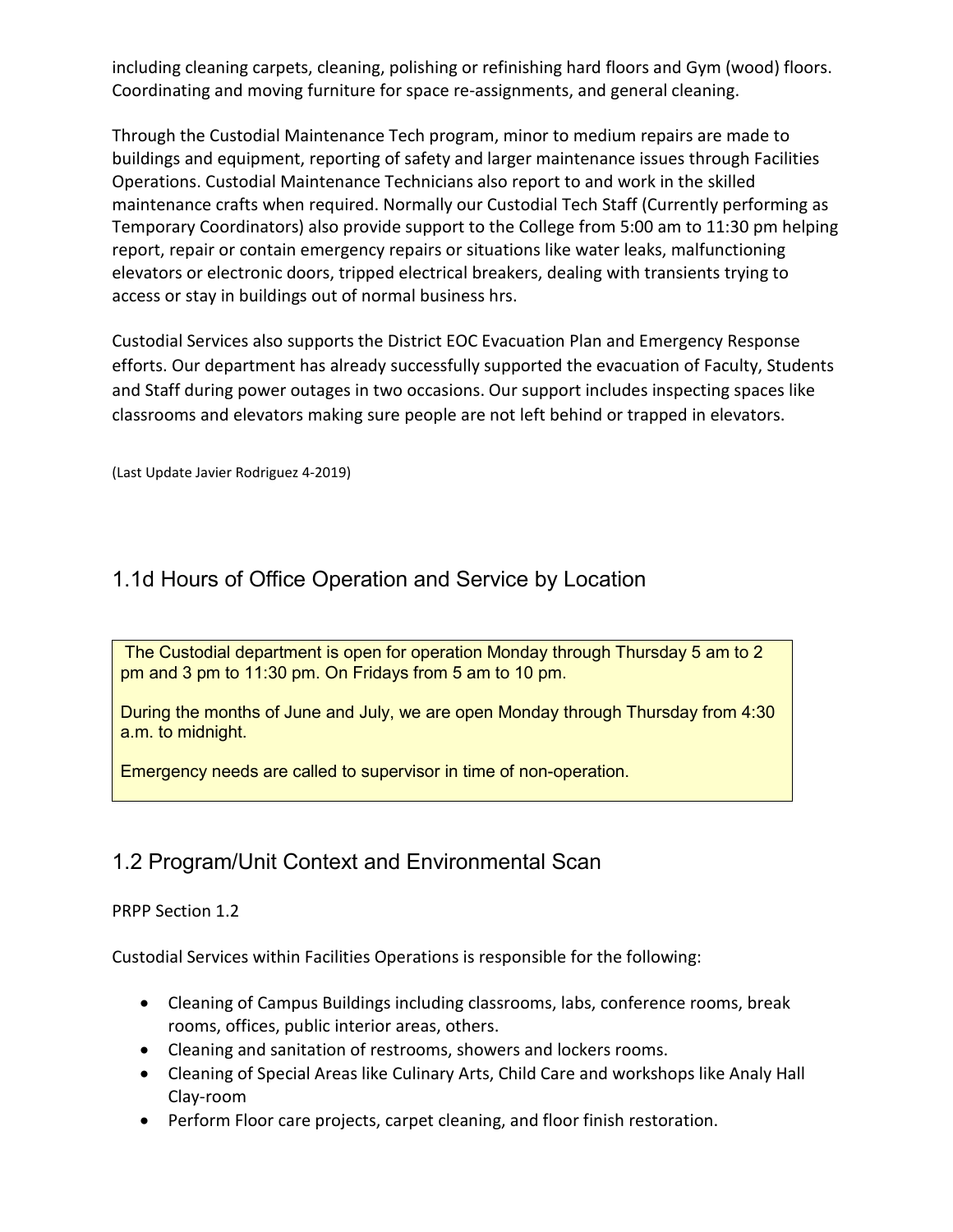including cleaning carpets, cleaning, polishing or refinishing hard floors and Gym (wood) floors. Coordinating and moving furniture for space re-assignments, and general cleaning.

Through the Custodial Maintenance Tech program, minor to medium repairs are made to buildings and equipment, reporting of safety and larger maintenance issues through Facilities Operations. Custodial Maintenance Technicians also report to and work in the skilled maintenance crafts when required. Normally our Custodial Tech Staff (Currently performing as Temporary Coordinators) also provide support to the College from 5:00 am to 11:30 pm helping report, repair or contain emergency repairs or situations like water leaks, malfunctioning elevators or electronic doors, tripped electrical breakers, dealing with transients trying to access or stay in buildings out of normal business hrs.

Custodial Services also supports the District EOC Evacuation Plan and Emergency Response efforts. Our department has already successfully supported the evacuation of Faculty, Students and Staff during power outages in two occasions. Our support includes inspecting spaces like classrooms and elevators making sure people are not left behind or trapped in elevators.

(Last Update Javier Rodriguez 4-2019)

### 1.1d Hours of Office Operation and Service by Location

The Custodial department is open for operation Monday through Thursday 5 am to 2 pm and 3 pm to 11:30 pm. On Fridays from 5 am to 10 pm.

During the months of June and July, we are open Monday through Thursday from 4:30 a.m. to midnight.

Emergency needs are called to supervisor in time of non-operation.

## 1.2 Program/Unit Context and Environmental Scan

#### PRPP Section 1.2

Custodial Services within Facilities Operations is responsible for the following:

- Cleaning of Campus Buildings including classrooms, labs, conference rooms, break rooms, offices, public interior areas, others.
- Cleaning and sanitation of restrooms, showers and lockers rooms.
- Cleaning of Special Areas like Culinary Arts, Child Care and workshops like Analy Hall Clay-room
- Perform Floor care projects, carpet cleaning, and floor finish restoration.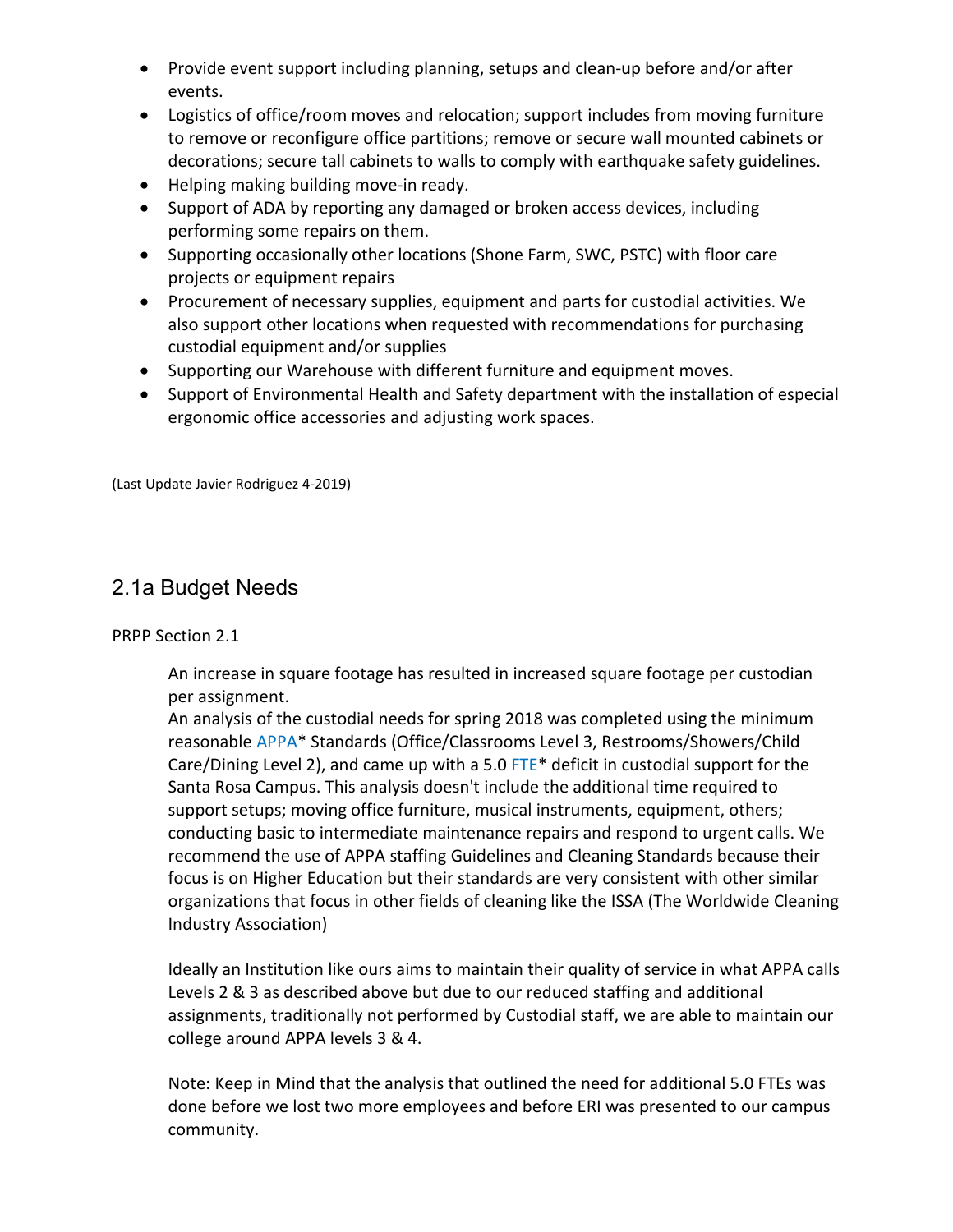- Provide event support including planning, setups and clean-up before and/or after events.
- Logistics of office/room moves and relocation; support includes from moving furniture to remove or reconfigure office partitions; remove or secure wall mounted cabinets or decorations; secure tall cabinets to walls to comply with earthquake safety guidelines.
- Helping making building move-in ready.
- Support of ADA by reporting any damaged or broken access devices, including performing some repairs on them.
- Supporting occasionally other locations (Shone Farm, SWC, PSTC) with floor care projects or equipment repairs
- Procurement of necessary supplies, equipment and parts for custodial activities. We also support other locations when requested with recommendations for purchasing custodial equipment and/or supplies
- Supporting our Warehouse with different furniture and equipment moves.
- Support of Environmental Health and Safety department with the installation of especial ergonomic office accessories and adjusting work spaces.

(Last Update Javier Rodriguez 4-2019)

### 2.1a Budget Needs

PRPP Section 2.1

An increase in square footage has resulted in increased square footage per custodian per assignment.

An analysis of the custodial needs for spring 2018 was completed using the minimum reasonable APPA\* Standards (Office/Classrooms Level 3, Restrooms/Showers/Child Care/Dining Level 2), and came up with a 5.0 FTE\* deficit in custodial support for the Santa Rosa Campus. This analysis doesn't include the additional time required to support setups; moving office furniture, musical instruments, equipment, others; conducting basic to intermediate maintenance repairs and respond to urgent calls. We recommend the use of APPA staffing Guidelines and Cleaning Standards because their focus is on Higher Education but their standards are very consistent with other similar organizations that focus in other fields of cleaning like the ISSA (The Worldwide Cleaning Industry Association)

Ideally an Institution like ours aims to maintain their quality of service in what APPA calls Levels 2 & 3 as described above but due to our reduced staffing and additional assignments, traditionally not performed by Custodial staff, we are able to maintain our college around APPA levels 3 & 4.

Note: Keep in Mind that the analysis that outlined the need for additional 5.0 FTEs was done before we lost two more employees and before ERI was presented to our campus community.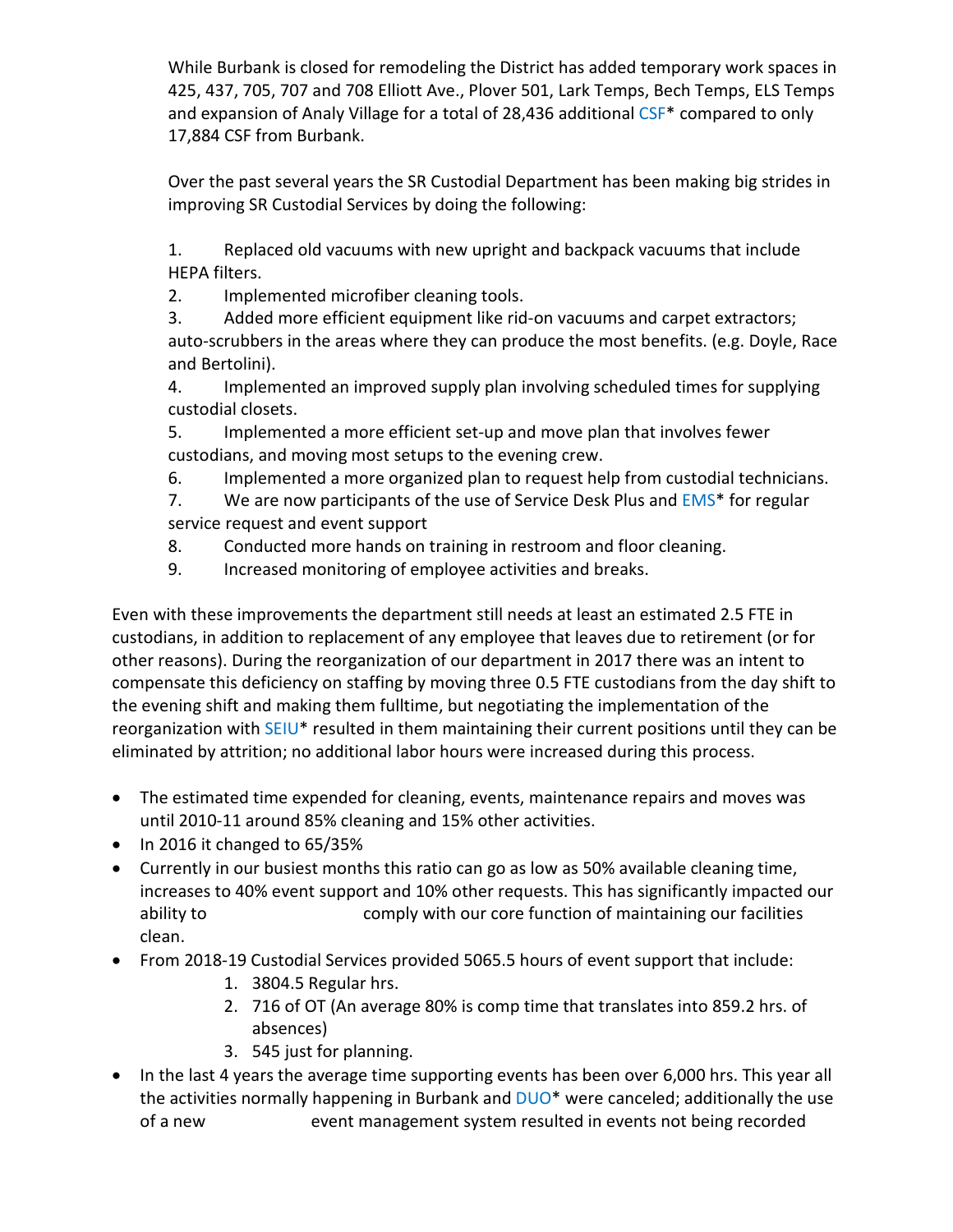While Burbank is closed for remodeling the District has added temporary work spaces in 425, 437, 705, 707 and 708 Elliott Ave., Plover 501, Lark Temps, Bech Temps, ELS Temps and expansion of Analy Village for a total of 28,436 additional CSF<sup>\*</sup> compared to only 17,884 CSF from Burbank.

Over the past several years the SR Custodial Department has been making big strides in improving SR Custodial Services by doing the following:

1. Replaced old vacuums with new upright and backpack vacuums that include HEPA filters.

2. Implemented microfiber cleaning tools.

3. Added more efficient equipment like rid-on vacuums and carpet extractors; auto-scrubbers in the areas where they can produce the most benefits. (e.g. Doyle, Race and Bertolini).

4. Implemented an improved supply plan involving scheduled times for supplying custodial closets.

5. Implemented a more efficient set-up and move plan that involves fewer custodians, and moving most setups to the evening crew.

6. Implemented a more organized plan to request help from custodial technicians.

7. We are now participants of the use of Service Desk Plus and EMS\* for regular service request and event support

8. Conducted more hands on training in restroom and floor cleaning.

9. Increased monitoring of employee activities and breaks.

Even with these improvements the department still needs at least an estimated 2.5 FTE in custodians, in addition to replacement of any employee that leaves due to retirement (or for other reasons). During the reorganization of our department in 2017 there was an intent to compensate this deficiency on staffing by moving three 0.5 FTE custodians from the day shift to the evening shift and making them fulltime, but negotiating the implementation of the reorganization with SEIU\* resulted in them maintaining their current positions until they can be eliminated by attrition; no additional labor hours were increased during this process.

- The estimated time expended for cleaning, events, maintenance repairs and moves was until 2010-11 around 85% cleaning and 15% other activities.
- In 2016 it changed to 65/35%
- Currently in our busiest months this ratio can go as low as 50% available cleaning time, increases to 40% event support and 10% other requests. This has significantly impacted our ability to **comply with our core function of maintaining our facilities** clean.
- From 2018-19 Custodial Services provided 5065.5 hours of event support that include:
	- 1. 3804.5 Regular hrs.
	- 2. 716 of OT (An average 80% is comp time that translates into 859.2 hrs. of absences)
	- 3. 545 just for planning.
- In the last 4 years the average time supporting events has been over 6,000 hrs. This year all the activities normally happening in Burbank and DUO<sup>\*</sup> were canceled; additionally the use of a new event management system resulted in events not being recorded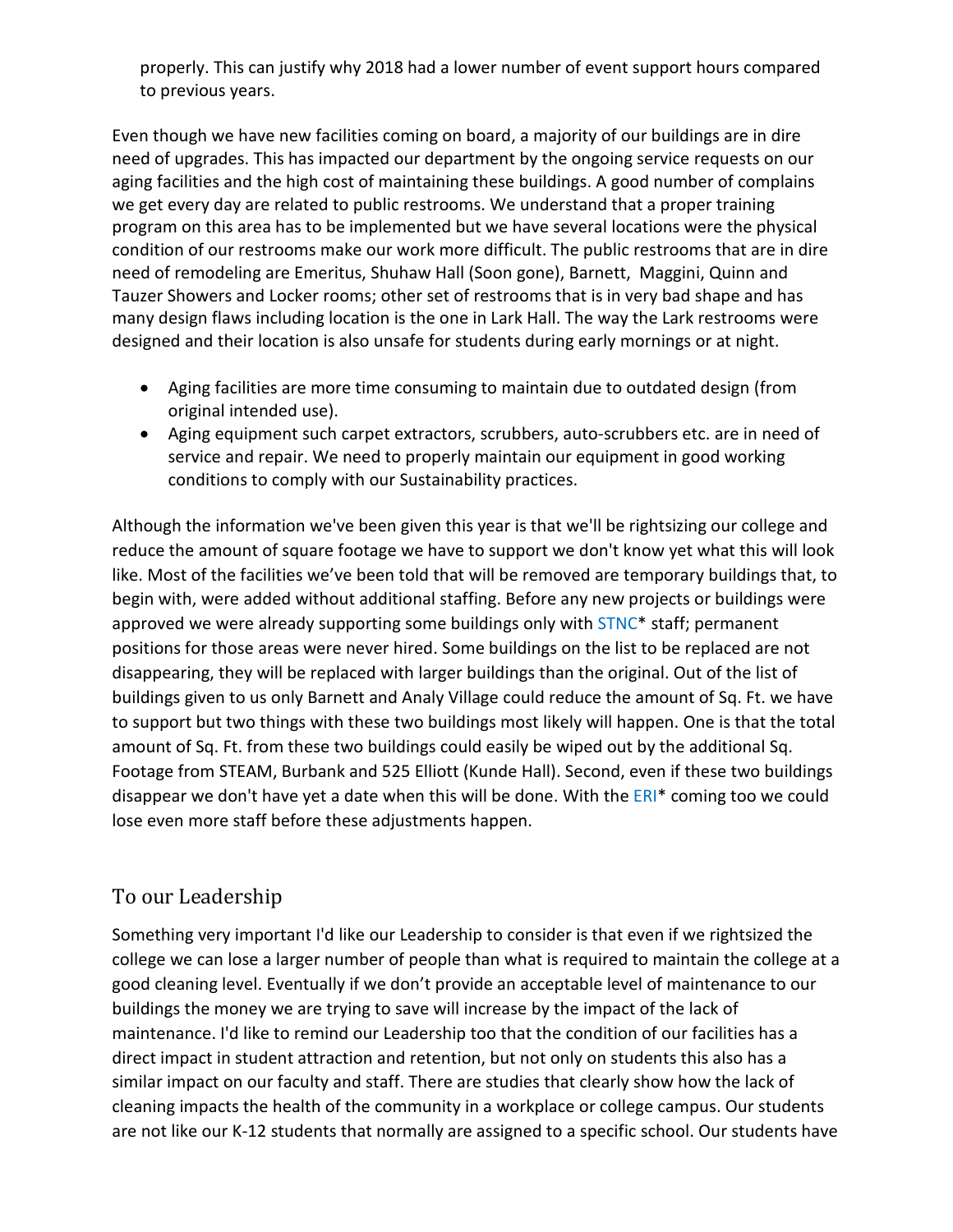properly. This can justify why 2018 had a lower number of event support hours compared to previous years.

Even though we have new facilities coming on board, a majority of our buildings are in dire need of upgrades. This has impacted our department by the ongoing service requests on our aging facilities and the high cost of maintaining these buildings. A good number of complains we get every day are related to public restrooms. We understand that a proper training program on this area has to be implemented but we have several locations were the physical condition of our restrooms make our work more difficult. The public restrooms that are in dire need of remodeling are Emeritus, Shuhaw Hall (Soon gone), Barnett, Maggini, Quinn and Tauzer Showers and Locker rooms; other set of restrooms that is in very bad shape and has many design flaws including location is the one in Lark Hall. The way the Lark restrooms were designed and their location is also unsafe for students during early mornings or at night.

- Aging facilities are more time consuming to maintain due to outdated design (from original intended use).
- Aging equipment such carpet extractors, scrubbers, auto-scrubbers etc. are in need of service and repair. We need to properly maintain our equipment in good working conditions to comply with our Sustainability practices.

Although the information we've been given this year is that we'll be rightsizing our college and reduce the amount of square footage we have to support we don't know yet what this will look like. Most of the facilities we've been told that will be removed are temporary buildings that, to begin with, were added without additional staffing. Before any new projects or buildings were approved we were already supporting some buildings only with STNC\* staff; permanent positions for those areas were never hired. Some buildings on the list to be replaced are not disappearing, they will be replaced with larger buildings than the original. Out of the list of buildings given to us only Barnett and Analy Village could reduce the amount of Sq. Ft. we have to support but two things with these two buildings most likely will happen. One is that the total amount of Sq. Ft. from these two buildings could easily be wiped out by the additional Sq. Footage from STEAM, Burbank and 525 Elliott (Kunde Hall). Second, even if these two buildings disappear we don't have yet a date when this will be done. With the ERI\* coming too we could lose even more staff before these adjustments happen.

## To our Leadership

Something very important I'd like our Leadership to consider is that even if we rightsized the college we can lose a larger number of people than what is required to maintain the college at a good cleaning level. Eventually if we don't provide an acceptable level of maintenance to our buildings the money we are trying to save will increase by the impact of the lack of maintenance. I'd like to remind our Leadership too that the condition of our facilities has a direct impact in student attraction and retention, but not only on students this also has a similar impact on our faculty and staff. There are studies that clearly show how the lack of cleaning impacts the health of the community in a workplace or college campus. Our students are not like our K-12 students that normally are assigned to a specific school. Our students have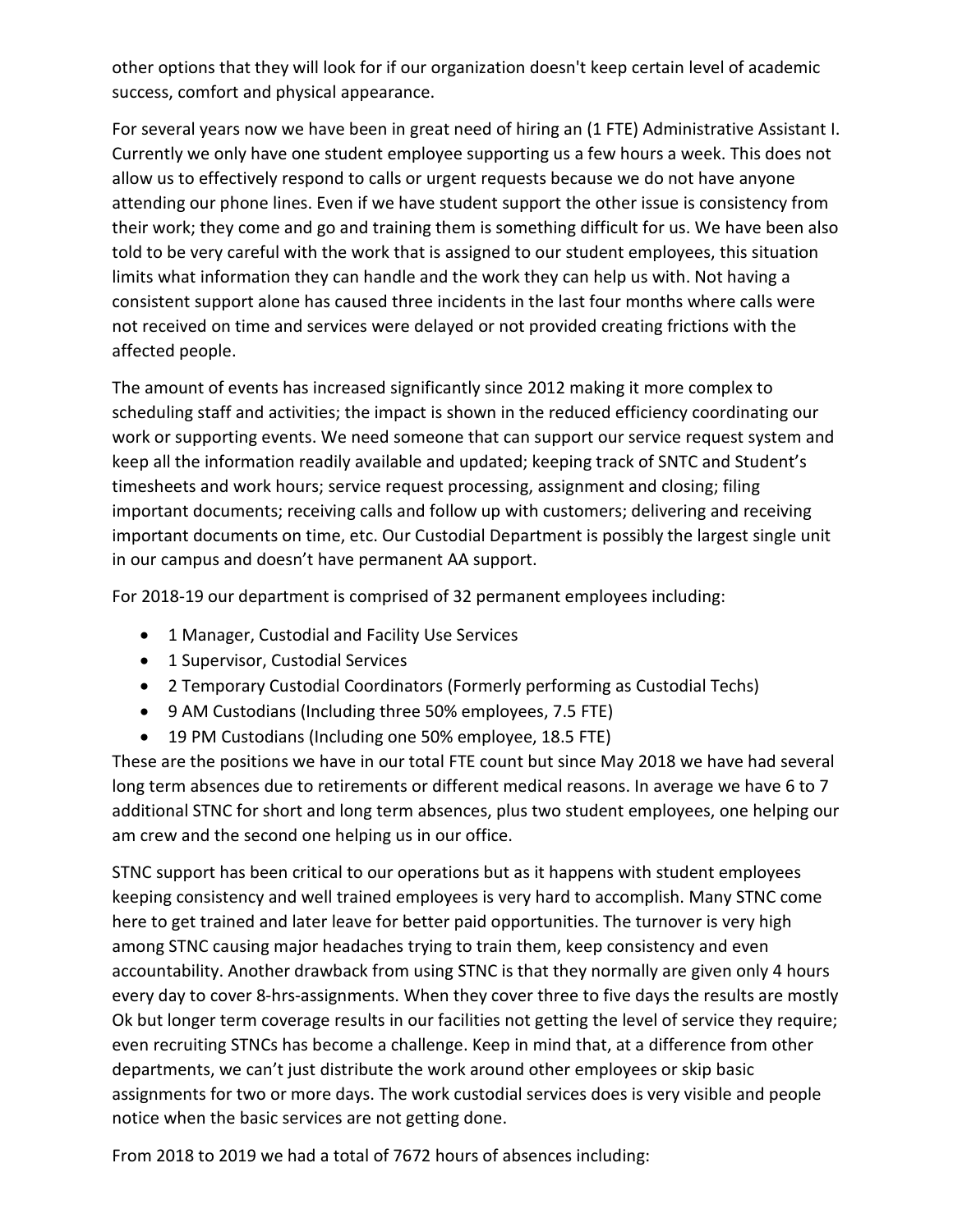other options that they will look for if our organization doesn't keep certain level of academic success, comfort and physical appearance.

For several years now we have been in great need of hiring an (1 FTE) Administrative Assistant I. Currently we only have one student employee supporting us a few hours a week. This does not allow us to effectively respond to calls or urgent requests because we do not have anyone attending our phone lines. Even if we have student support the other issue is consistency from their work; they come and go and training them is something difficult for us. We have been also told to be very careful with the work that is assigned to our student employees, this situation limits what information they can handle and the work they can help us with. Not having a consistent support alone has caused three incidents in the last four months where calls were not received on time and services were delayed or not provided creating frictions with the affected people.

The amount of events has increased significantly since 2012 making it more complex to scheduling staff and activities; the impact is shown in the reduced efficiency coordinating our work or supporting events. We need someone that can support our service request system and keep all the information readily available and updated; keeping track of SNTC and Student's timesheets and work hours; service request processing, assignment and closing; filing important documents; receiving calls and follow up with customers; delivering and receiving important documents on time, etc. Our Custodial Department is possibly the largest single unit in our campus and doesn't have permanent AA support.

For 2018-19 our department is comprised of 32 permanent employees including:

- 1 Manager, Custodial and Facility Use Services
- 1 Supervisor, Custodial Services
- 2 Temporary Custodial Coordinators (Formerly performing as Custodial Techs)
- 9 AM Custodians (Including three 50% employees, 7.5 FTE)
- 19 PM Custodians (Including one 50% employee, 18.5 FTE)

These are the positions we have in our total FTE count but since May 2018 we have had several long term absences due to retirements or different medical reasons. In average we have 6 to 7 additional STNC for short and long term absences, plus two student employees, one helping our am crew and the second one helping us in our office.

STNC support has been critical to our operations but as it happens with student employees keeping consistency and well trained employees is very hard to accomplish. Many STNC come here to get trained and later leave for better paid opportunities. The turnover is very high among STNC causing major headaches trying to train them, keep consistency and even accountability. Another drawback from using STNC is that they normally are given only 4 hours every day to cover 8-hrs-assignments. When they cover three to five days the results are mostly Ok but longer term coverage results in our facilities not getting the level of service they require; even recruiting STNCs has become a challenge. Keep in mind that, at a difference from other departments, we can't just distribute the work around other employees or skip basic assignments for two or more days. The work custodial services does is very visible and people notice when the basic services are not getting done.

From 2018 to 2019 we had a total of 7672 hours of absences including: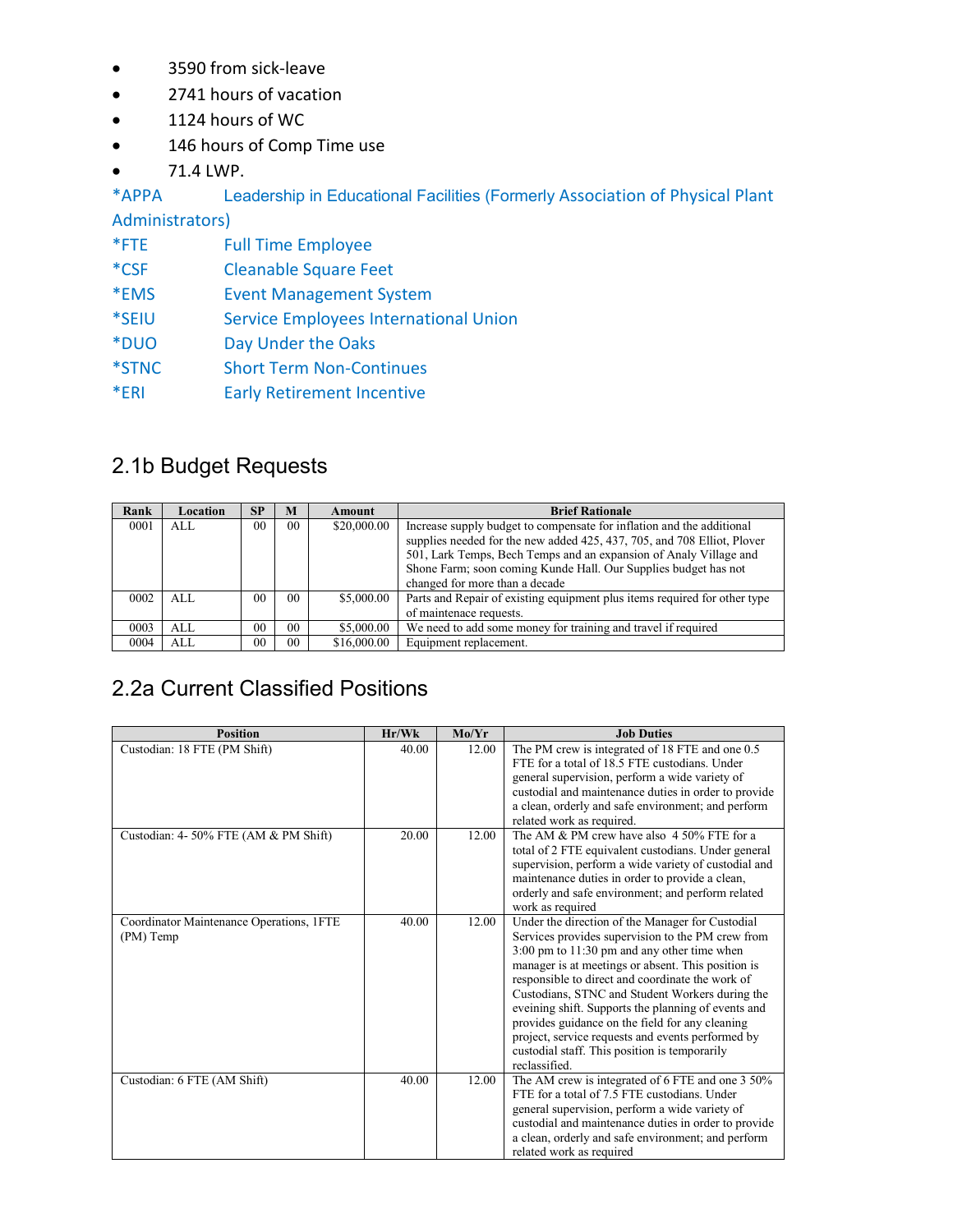- 3590 from sick-leave
- 2741 hours of vacation
- 1124 hours of WC
- 146 hours of Comp Time use
- 71.4 LWP.

\*APPA Leadership in Educational Facilities (Formerly Association of Physical Plant

Administrators)

- \*FTE Full Time Employee
- \*CSF Cleanable Square Feet
- \*EMS Event Management System
- \*SEIU Service Employees International Union
- \*DUO Day Under the Oaks
- \*STNC Short Term Non-Continues
- \*ERI Early Retirement Incentive

## 2.1b Budget Requests

| Rank | Location | <b>SP</b>      | M              | <b>Amount</b> | <b>Brief Rationale</b>                                                    |
|------|----------|----------------|----------------|---------------|---------------------------------------------------------------------------|
| 0001 | AI.      | 0 <sub>0</sub> | 0 <sub>0</sub> | \$20,000.00   | Increase supply budget to compensate for inflation and the additional     |
|      |          |                |                |               | supplies needed for the new added 425, 437, 705, and 708 Elliot, Plover   |
|      |          |                |                |               | 501, Lark Temps, Bech Temps and an expansion of Analy Village and         |
|      |          |                |                |               | Shone Farm; soon coming Kunde Hall. Our Supplies budget has not           |
|      |          |                |                |               | changed for more than a decade                                            |
| 0002 | AI.      | 0 <sub>0</sub> | 0 <sub>0</sub> | \$5,000.00    | Parts and Repair of existing equipment plus items required for other type |
|      |          |                |                |               | of maintenace requests.                                                   |
| 0003 | ALL      | 0 <sub>0</sub> | 0 <sub>0</sub> | \$5,000.00    | We need to add some money for training and travel if required             |
| 0004 | ALL.     | 0 <sub>0</sub> | 0 <sub>0</sub> | \$16,000.00   | Equipment replacement.                                                    |

## 2.2a Current Classified Positions

| <b>Position</b>                          | Hr/Wk | Mo/Yr | <b>Job Duties</b>                                               |
|------------------------------------------|-------|-------|-----------------------------------------------------------------|
| Custodian: 18 FTE (PM Shift)             | 40.00 | 12.00 | The PM crew is integrated of 18 FTE and one 0.5                 |
|                                          |       |       | FTE for a total of 18.5 FTE custodians. Under                   |
|                                          |       |       | general supervision, perform a wide variety of                  |
|                                          |       |       | custodial and maintenance duties in order to provide            |
|                                          |       |       | a clean, orderly and safe environment; and perform              |
|                                          |       |       | related work as required.                                       |
| Custodian: 4-50% FTE (AM & PM Shift)     | 20.00 | 12.00 | The AM & PM crew have also 4 50% FTE for a                      |
|                                          |       |       | total of 2 FTE equivalent custodians. Under general             |
|                                          |       |       | supervision, perform a wide variety of custodial and            |
|                                          |       |       | maintenance duties in order to provide a clean,                 |
|                                          |       |       | orderly and safe environment; and perform related               |
|                                          |       |       | work as required                                                |
| Coordinator Maintenance Operations, 1FTE | 40.00 | 12.00 | Under the direction of the Manager for Custodial                |
| (PM) Temp                                |       |       | Services provides supervision to the PM crew from               |
|                                          |       |       | $3.00 \text{ pm}$ to $11.30 \text{ pm}$ and any other time when |
|                                          |       |       | manager is at meetings or absent. This position is              |
|                                          |       |       | responsible to direct and coordinate the work of                |
|                                          |       |       | Custodians, STNC and Student Workers during the                 |
|                                          |       |       | eveining shift. Supports the planning of events and             |
|                                          |       |       | provides guidance on the field for any cleaning                 |
|                                          |       |       | project, service requests and events performed by               |
|                                          |       |       | custodial staff. This position is temporarily                   |
|                                          |       |       | reclassified.                                                   |
| Custodian: 6 FTE (AM Shift)              | 40.00 | 12.00 | The AM crew is integrated of 6 FTE and one 3 50%                |
|                                          |       |       | FTE for a total of 7.5 FTE custodians. Under                    |
|                                          |       |       | general supervision, perform a wide variety of                  |
|                                          |       |       | custodial and maintenance duties in order to provide            |
|                                          |       |       | a clean, orderly and safe environment; and perform              |
|                                          |       |       | related work as required                                        |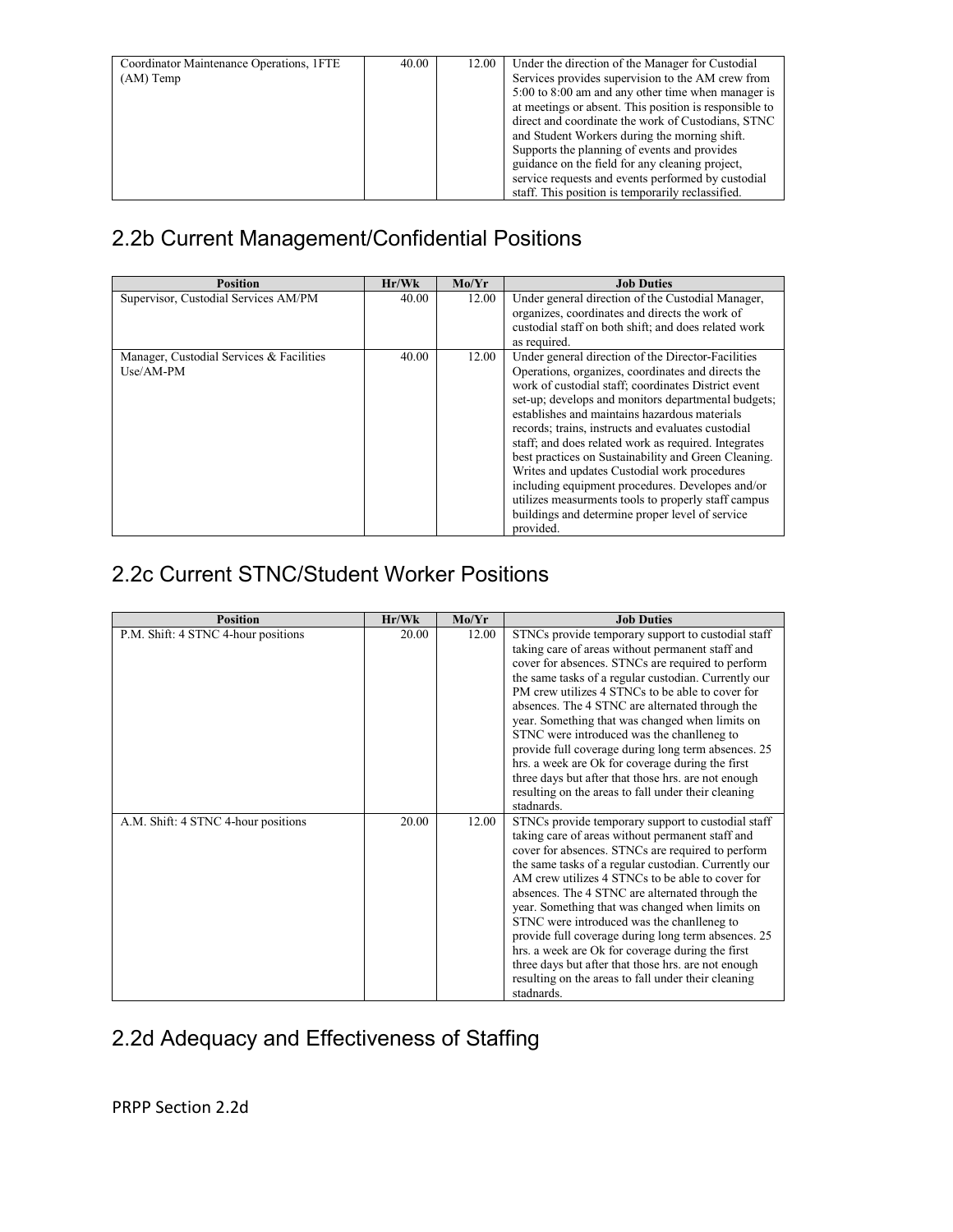| Coordinator Maintenance Operations, 1FTE<br>$(AM)$ Temp | 40.00 | 12.00 | Under the direction of the Manager for Custodial<br>Services provides supervision to the AM crew from<br>5:00 to 8:00 am and any other time when manager is<br>at meetings or absent. This position is responsible to |
|---------------------------------------------------------|-------|-------|-----------------------------------------------------------------------------------------------------------------------------------------------------------------------------------------------------------------------|
|                                                         |       |       | direct and coordinate the work of Custodians, STNC<br>and Student Workers during the morning shift.                                                                                                                   |
|                                                         |       |       | Supports the planning of events and provides<br>guidance on the field for any cleaning project,                                                                                                                       |
|                                                         |       |       | service requests and events performed by custodial<br>staff. This position is temporarily reclassified.                                                                                                               |

## 2.2b Current Management/Confidential Positions

| <b>Position</b>                                         | Hr/Wk | Mo/Yr | <b>Job Duties</b>                                                                                                                                                                                                                                                                                                                                                                                                                                                                                                                                                                                                                                                        |
|---------------------------------------------------------|-------|-------|--------------------------------------------------------------------------------------------------------------------------------------------------------------------------------------------------------------------------------------------------------------------------------------------------------------------------------------------------------------------------------------------------------------------------------------------------------------------------------------------------------------------------------------------------------------------------------------------------------------------------------------------------------------------------|
| Supervisor, Custodial Services AM/PM                    | 40.00 | 12.00 | Under general direction of the Custodial Manager,<br>organizes, coordinates and directs the work of<br>custodial staff on both shift; and does related work<br>as required.                                                                                                                                                                                                                                                                                                                                                                                                                                                                                              |
| Manager, Custodial Services & Facilities<br>$Use/AM-PM$ | 40.00 | 12.00 | Under general direction of the Director-Facilities<br>Operations, organizes, coordinates and directs the<br>work of custodial staff; coordinates District event<br>set-up; develops and monitors departmental budgets;<br>establishes and maintains hazardous materials<br>records; trains, instructs and evaluates custodial<br>staff; and does related work as required. Integrates<br>best practices on Sustainability and Green Cleaning.<br>Writes and updates Custodial work procedures<br>including equipment procedures. Developes and/or<br>utilizes measurments tools to properly staff campus<br>buildings and determine proper level of service<br>provided. |

## 2.2c Current STNC/Student Worker Positions

| <b>Position</b>                     | Hr/Wk | Mo/Yr | <b>Job Duties</b>                                                                                                                                                                                                                                                                                                                                                                                                                                                                                                                                                                                                                                                  |
|-------------------------------------|-------|-------|--------------------------------------------------------------------------------------------------------------------------------------------------------------------------------------------------------------------------------------------------------------------------------------------------------------------------------------------------------------------------------------------------------------------------------------------------------------------------------------------------------------------------------------------------------------------------------------------------------------------------------------------------------------------|
| P.M. Shift: 4 STNC 4-hour positions | 20.00 | 12.00 | STNCs provide temporary support to custodial staff<br>taking care of areas without permanent staff and<br>cover for absences. STNCs are required to perform<br>the same tasks of a regular custodian. Currently our<br>PM crew utilizes 4 STNCs to be able to cover for<br>absences. The 4 STNC are alternated through the<br>year. Something that was changed when limits on<br>STNC were introduced was the chanlleneg to<br>provide full coverage during long term absences. 25<br>hrs. a week are Ok for coverage during the first<br>three days but after that those hrs. are not enough<br>resulting on the areas to fall under their cleaning<br>stadnards. |
| A.M. Shift: 4 STNC 4-hour positions | 20.00 | 12.00 | STNCs provide temporary support to custodial staff<br>taking care of areas without permanent staff and<br>cover for absences. STNCs are required to perform<br>the same tasks of a regular custodian. Currently our<br>AM crew utilizes 4 STNCs to be able to cover for<br>absences. The 4 STNC are alternated through the<br>year. Something that was changed when limits on<br>STNC were introduced was the chanlleneg to<br>provide full coverage during long term absences. 25<br>hrs. a week are Ok for coverage during the first<br>three days but after that those hrs. are not enough<br>resulting on the areas to fall under their cleaning<br>stadnards. |

## 2.2d Adequacy and Effectiveness of Staffing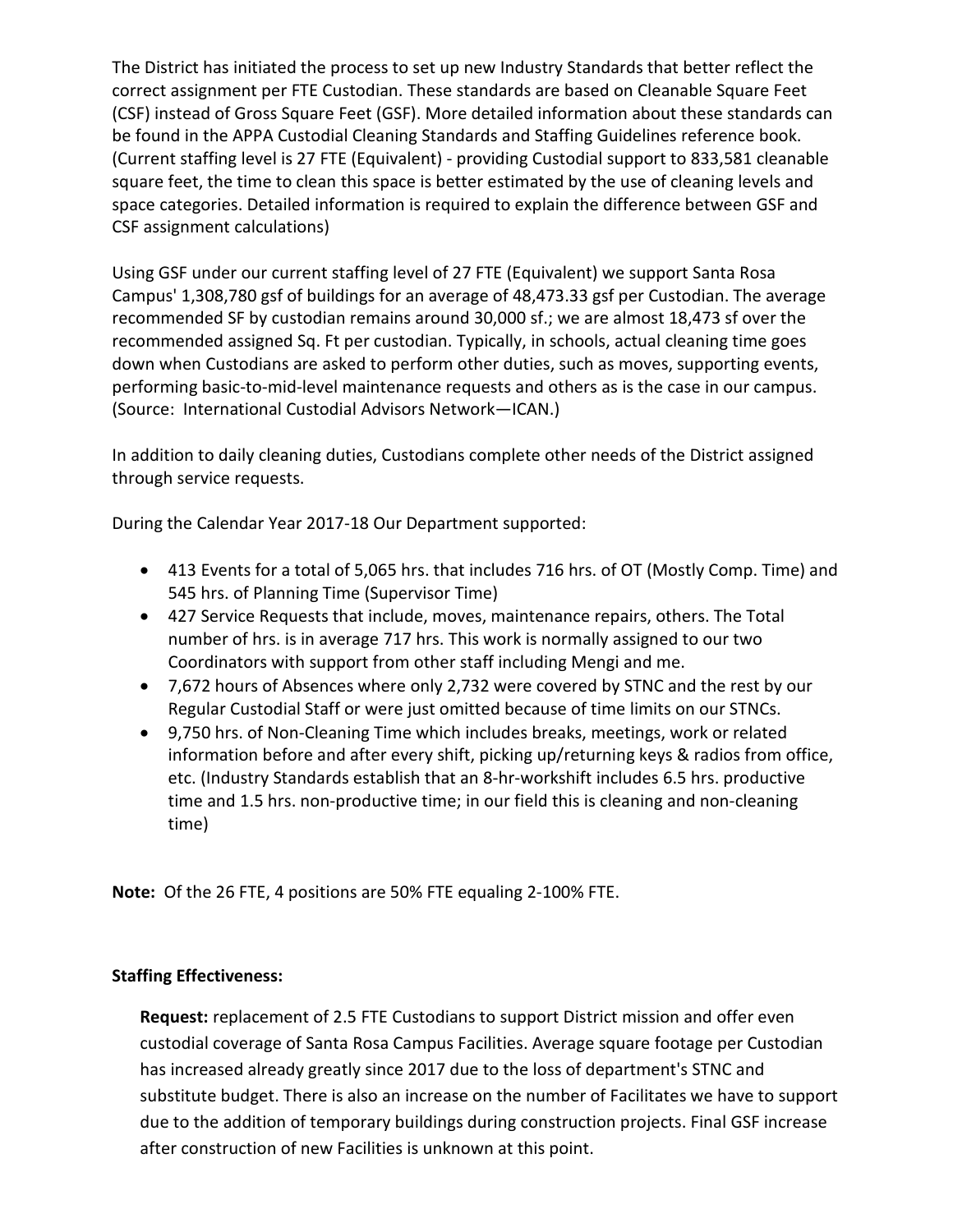The District has initiated the process to set up new Industry Standards that better reflect the correct assignment per FTE Custodian. These standards are based on Cleanable Square Feet (CSF) instead of Gross Square Feet (GSF). More detailed information about these standards can be found in the APPA Custodial Cleaning Standards and Staffing Guidelines reference book. (Current staffing level is 27 FTE (Equivalent) - providing Custodial support to 833,581 cleanable square feet, the time to clean this space is better estimated by the use of cleaning levels and space categories. Detailed information is required to explain the difference between GSF and CSF assignment calculations)

Using GSF under our current staffing level of 27 FTE (Equivalent) we support Santa Rosa Campus' 1,308,780 gsf of buildings for an average of 48,473.33 gsf per Custodian. The average recommended SF by custodian remains around 30,000 sf.; we are almost 18,473 sf over the recommended assigned Sq. Ft per custodian. Typically, in schools, actual cleaning time goes down when Custodians are asked to perform other duties, such as moves, supporting events, performing basic-to-mid-level maintenance requests and others as is the case in our campus. (Source: International Custodial Advisors Network—ICAN.)

In addition to daily cleaning duties, Custodians complete other needs of the District assigned through service requests.

During the Calendar Year 2017-18 Our Department supported:

- 413 Events for a total of 5,065 hrs. that includes 716 hrs. of OT (Mostly Comp. Time) and 545 hrs. of Planning Time (Supervisor Time)
- 427 Service Requests that include, moves, maintenance repairs, others. The Total number of hrs. is in average 717 hrs. This work is normally assigned to our two Coordinators with support from other staff including Mengi and me.
- 7,672 hours of Absences where only 2,732 were covered by STNC and the rest by our Regular Custodial Staff or were just omitted because of time limits on our STNCs.
- 9,750 hrs. of Non-Cleaning Time which includes breaks, meetings, work or related information before and after every shift, picking up/returning keys & radios from office, etc. (Industry Standards establish that an 8-hr-workshift includes 6.5 hrs. productive time and 1.5 hrs. non-productive time; in our field this is cleaning and non-cleaning time)

**Note:** Of the 26 FTE, 4 positions are 50% FTE equaling 2-100% FTE.

#### **Staffing Effectiveness:**

**Request:** replacement of 2.5 FTE Custodians to support District mission and offer even custodial coverage of Santa Rosa Campus Facilities. Average square footage per Custodian has increased already greatly since 2017 due to the loss of department's STNC and substitute budget. There is also an increase on the number of Facilitates we have to support due to the addition of temporary buildings during construction projects. Final GSF increase after construction of new Facilities is unknown at this point.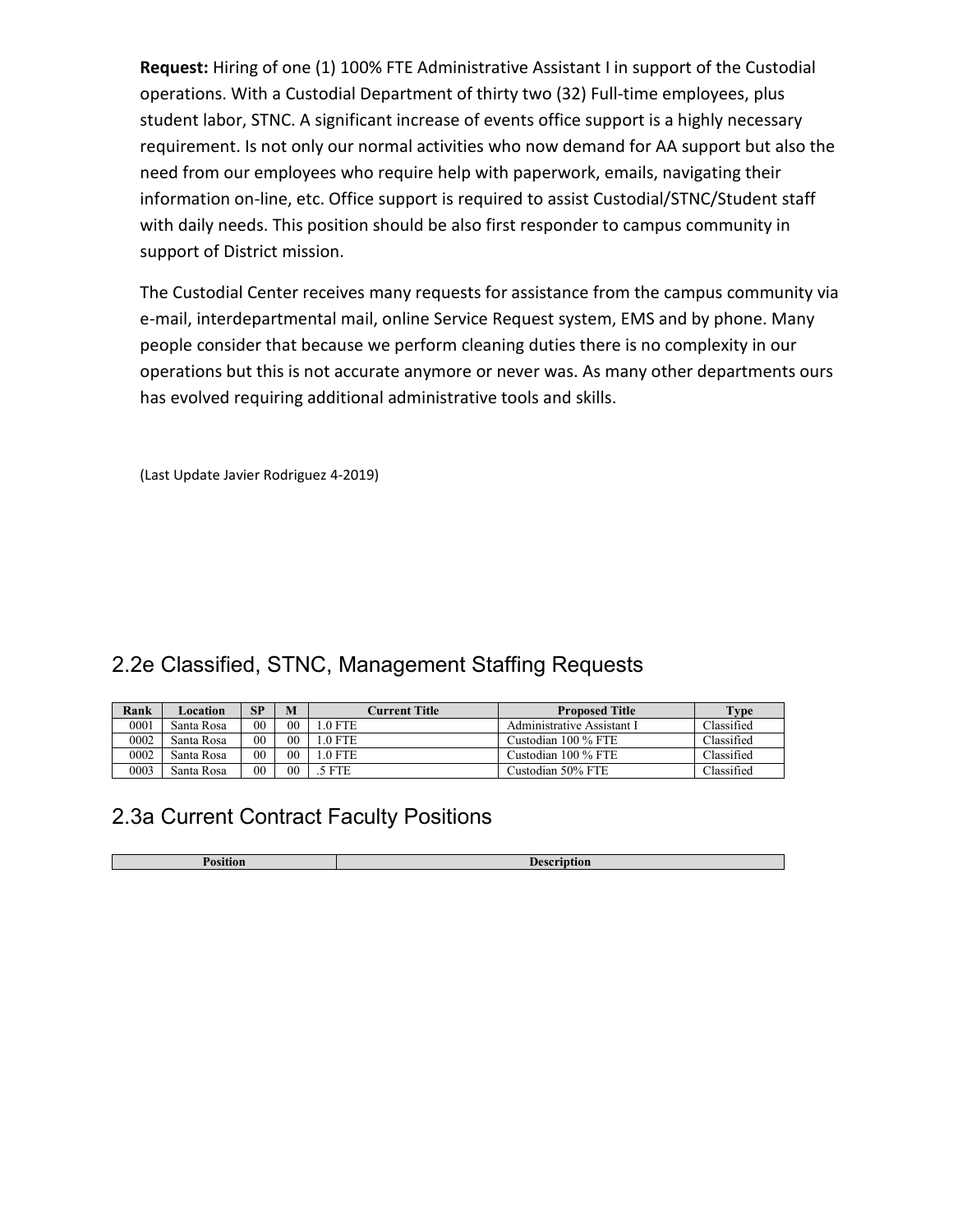**Request:** Hiring of one (1) 100% FTE Administrative Assistant I in support of the Custodial operations. With a Custodial Department of thirty two (32) Full-time employees, plus student labor, STNC. A significant increase of events office support is a highly necessary requirement. Is not only our normal activities who now demand for AA support but also the need from our employees who require help with paperwork, emails, navigating their information on-line, etc. Office support is required to assist Custodial/STNC/Student staff with daily needs. This position should be also first responder to campus community in support of District mission.

The Custodial Center receives many requests for assistance from the campus community via e-mail, interdepartmental mail, online Service Request system, EMS and by phone. Many people consider that because we perform cleaning duties there is no complexity in our operations but this is not accurate anymore or never was. As many other departments ours has evolved requiring additional administrative tools and skills.

(Last Update Javier Rodriguez 4-2019)

### 2.2e Classified, STNC, Management Staffing Requests

| Rank | Location   | SP             | M      | Current Title | <b>Proposed Title</b>      | Type       |
|------|------------|----------------|--------|---------------|----------------------------|------------|
| 0001 | Santa Rosa | 0 <sub>0</sub> | $00\,$ | $.0$ FTE      | Administrative Assistant I | Classified |
| 0002 | Santa Rosa | 00             | 00     | $.0$ FTE      | Custodian 100 % FTE        | Classified |
| 0002 | Santa Rosa | 00             | 00     | $.0$ FTE      | Custodian 100 % FTE        | Classified |
| 0003 | Santa Rosa | 0 <sub>0</sub> | 00     | 5 FTE         | Custodian 50% FTE          | Classified |

## 2.3a Current Contract Faculty Positions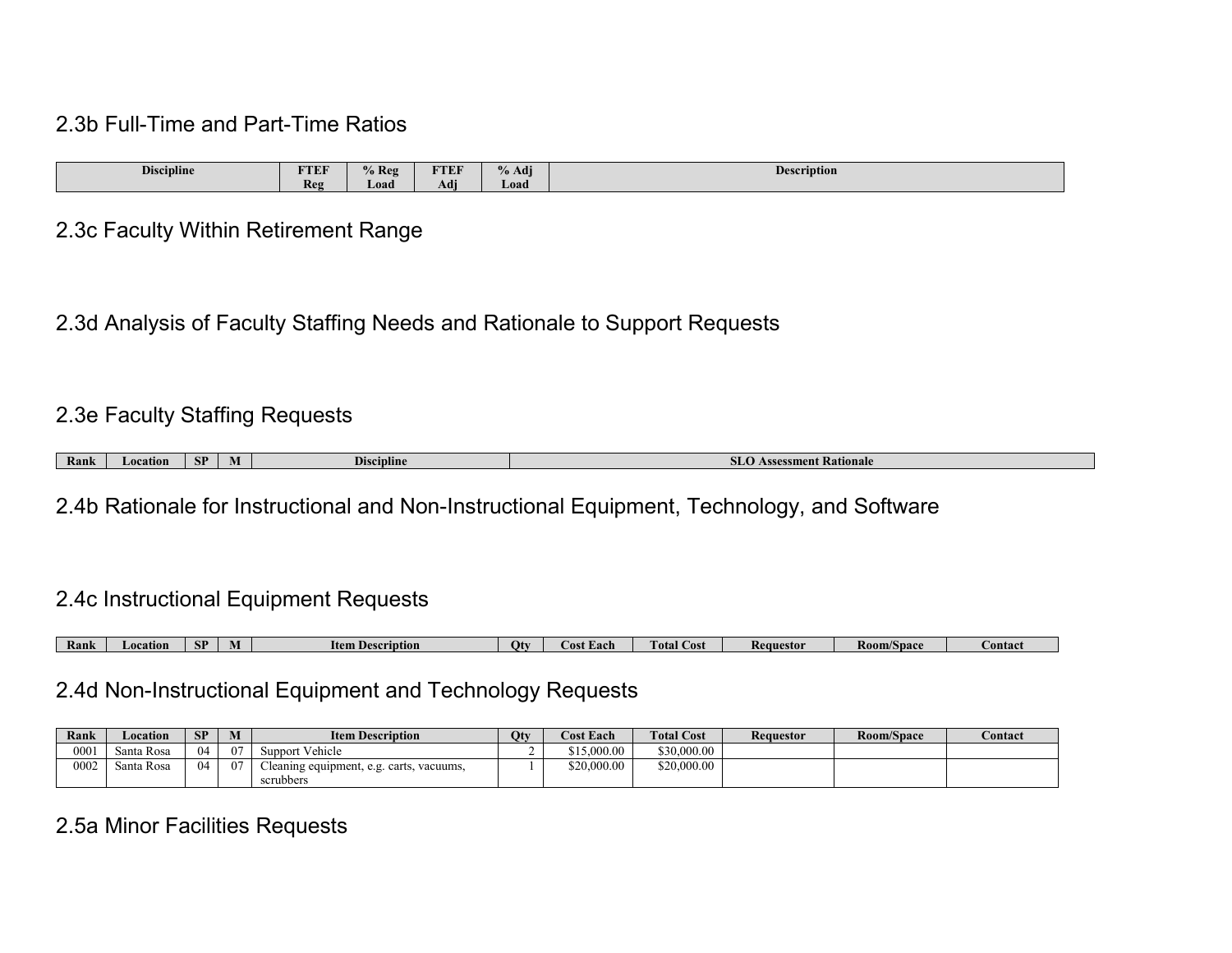#### 2.3b Full-Time and Part-Time Ratios

| $\cdot$ .<br>$\sim$<br>Discipline | <b>FTEF</b> | $%$ Reg | <b>FTEF</b>          | $\mathbf{v}$<br>$\mathbf{a}$<br>% Adj | $\mathbf{r}$<br><b>Description</b> |
|-----------------------------------|-------------|---------|----------------------|---------------------------------------|------------------------------------|
|                                   | Reg         | Load    | $\rightarrow$<br>Adr | Load /                                |                                    |

#### 2.3c Faculty Within Retirement Range

2.3d Analysis of Faculty Staffing Needs and Rationale to Support Requests

### 2.3e Faculty Staffing Requests

| Rank | с'n<br>L'OCATION<br>-31 |  | <b>Discipline</b> | sment Kationale |
|------|-------------------------|--|-------------------|-----------------|
|------|-------------------------|--|-------------------|-----------------|

2.4b Rationale for Instructional and Non-Instructional Equipment, Technology, and Software

#### 2.4c Instructional Equipment Requests

| Kank | <b>_ocatior</b> | CD<br>øл | IVI | <b>Item Description</b> | Otv | .ost<br>ac p | otal<br>Cost | Requestor | <b>Room/Space</b> | <b>Contact</b> |
|------|-----------------|----------|-----|-------------------------|-----|--------------|--------------|-----------|-------------------|----------------|

#### 2.4d Non-Instructional Equipment and Technology Requests

| Rank | ocation_   | SP | M  | <b>Item Description</b>                                 | Qty | <b>Cost Each</b> | <b>Total Cost</b> | <b>Requestor</b> | Room/Space | Contact |
|------|------------|----|----|---------------------------------------------------------|-----|------------------|-------------------|------------------|------------|---------|
| 0001 | Santa Rosa | 04 | 07 | Vehicle<br>Support                                      |     | 5,000,00         | \$30,000.00       |                  |            |         |
| 0002 | Santa Rosa | 04 | 07 | leaning equipment, e.g. carts,<br>vacuums,<br>scrubbers |     | \$20,000.00      | \$20,000.00       |                  |            |         |

## 2.5a Minor Facilities Requests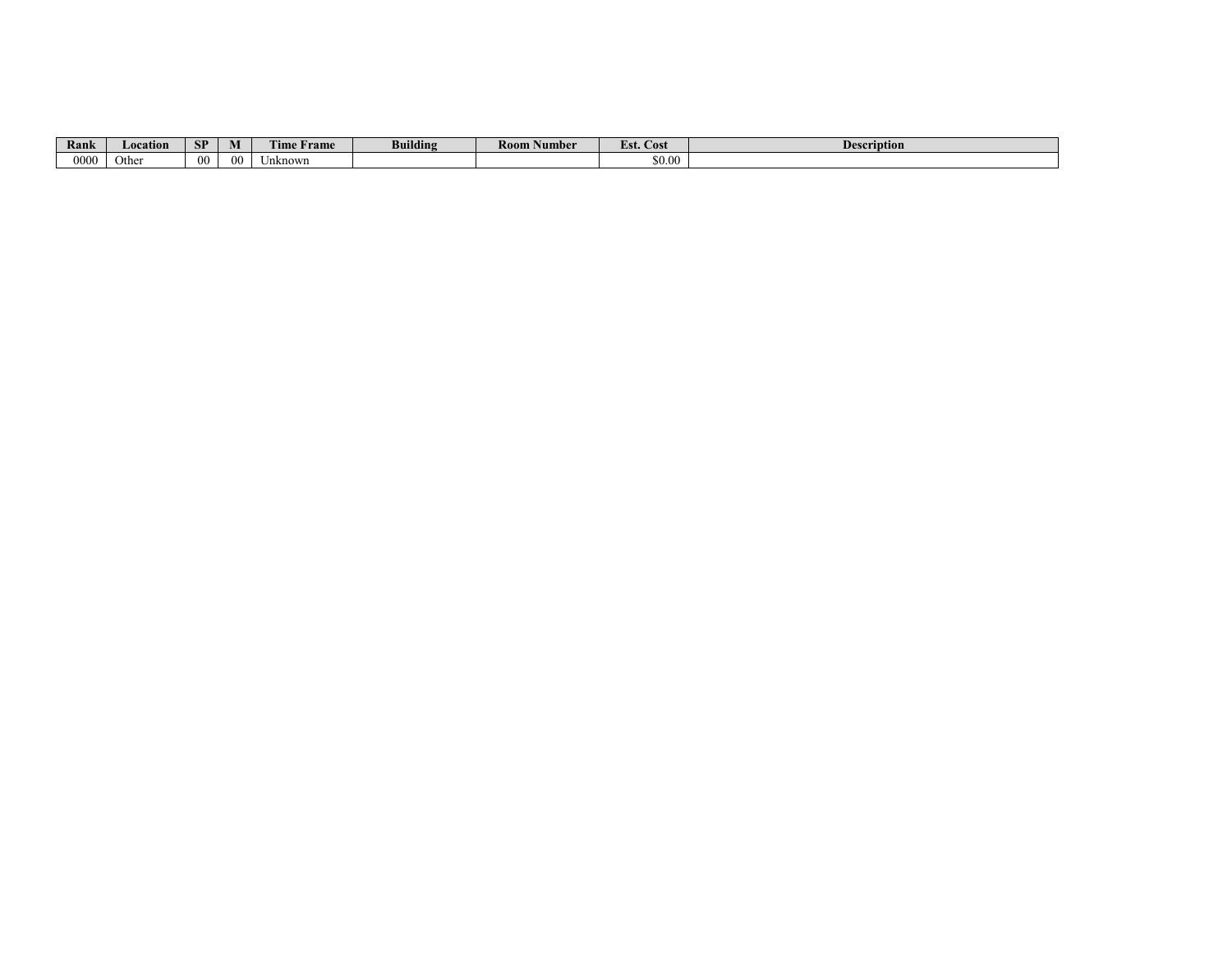| Rank | Location | <b>SP</b> | M  | <b>TELES</b><br>ime<br><b>Frame</b> | <br>Buildins | <b>Room</b><br>Number | $\sim$<br>LSL COST | <b>Description</b> |
|------|----------|-----------|----|-------------------------------------|--------------|-----------------------|--------------------|--------------------|
| 0000 | Othe     | 00        | 00 | Jnknown                             |              |                       | \$0.00             |                    |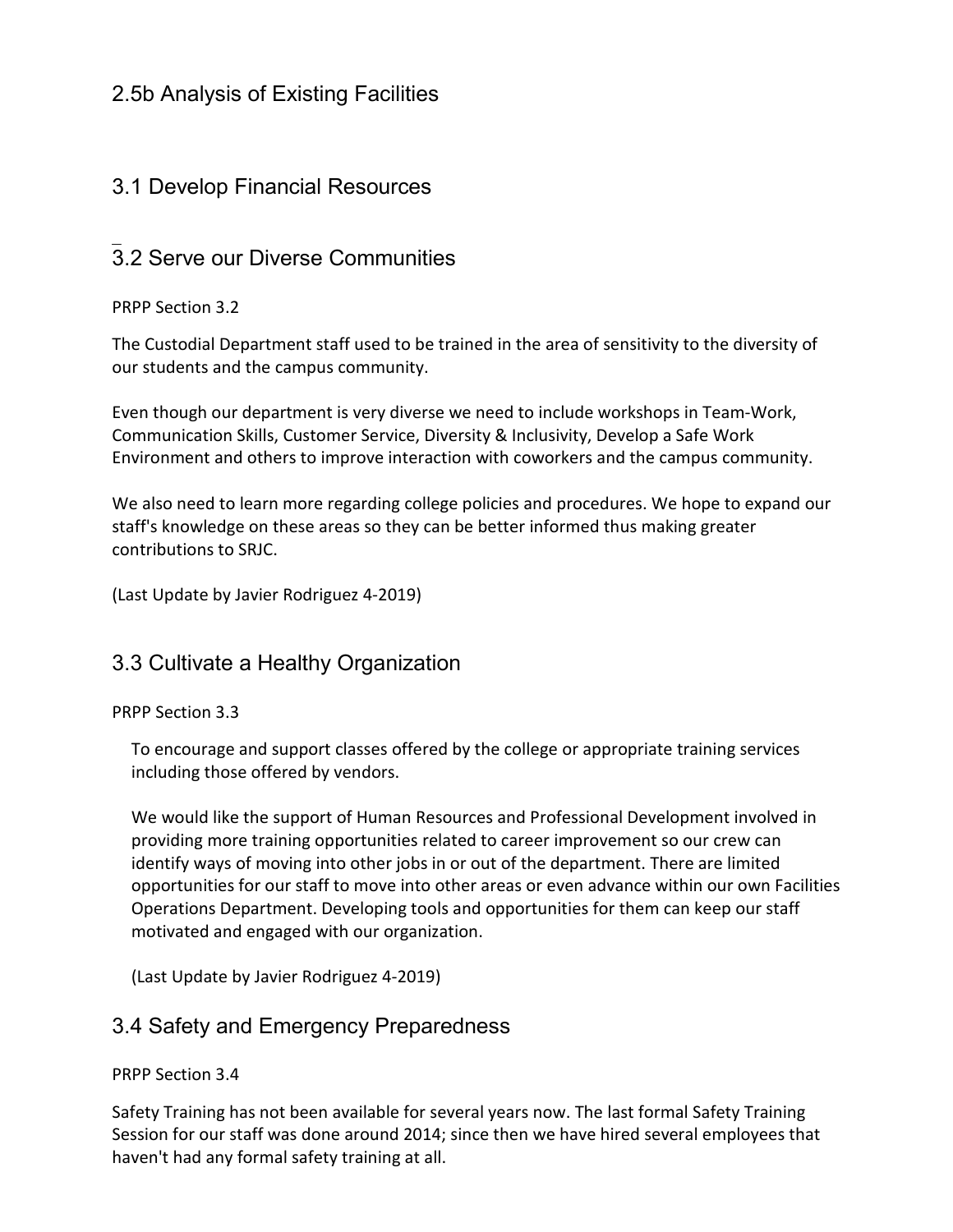### 2.5b Analysis of Existing Facilities

### 3.1 Develop Financial Resources

#### $\overline{\phantom{a}}$ 3.2 Serve our Diverse Communities

PRPP Section 3.2

The Custodial Department staff used to be trained in the area of sensitivity to the diversity of our students and the campus community.

Even though our department is very diverse we need to include workshops in Team-Work, Communication Skills, Customer Service, Diversity & Inclusivity, Develop a Safe Work Environment and others to improve interaction with coworkers and the campus community.

We also need to learn more regarding college policies and procedures. We hope to expand our staff's knowledge on these areas so they can be better informed thus making greater contributions to SRJC.

(Last Update by Javier Rodriguez 4-2019)

#### 3.3 Cultivate a Healthy Organization

PRPP Section 3.3

To encourage and support classes offered by the college or appropriate training services including those offered by vendors.

We would like the support of Human Resources and Professional Development involved in providing more training opportunities related to career improvement so our crew can identify ways of moving into other jobs in or out of the department. There are limited opportunities for our staff to move into other areas or even advance within our own Facilities Operations Department. Developing tools and opportunities for them can keep our staff motivated and engaged with our organization.

(Last Update by Javier Rodriguez 4-2019)

#### 3.4 Safety and Emergency Preparedness

#### PRPP Section 3.4

Safety Training has not been available for several years now. The last formal Safety Training Session for our staff was done around 2014; since then we have hired several employees that haven't had any formal safety training at all.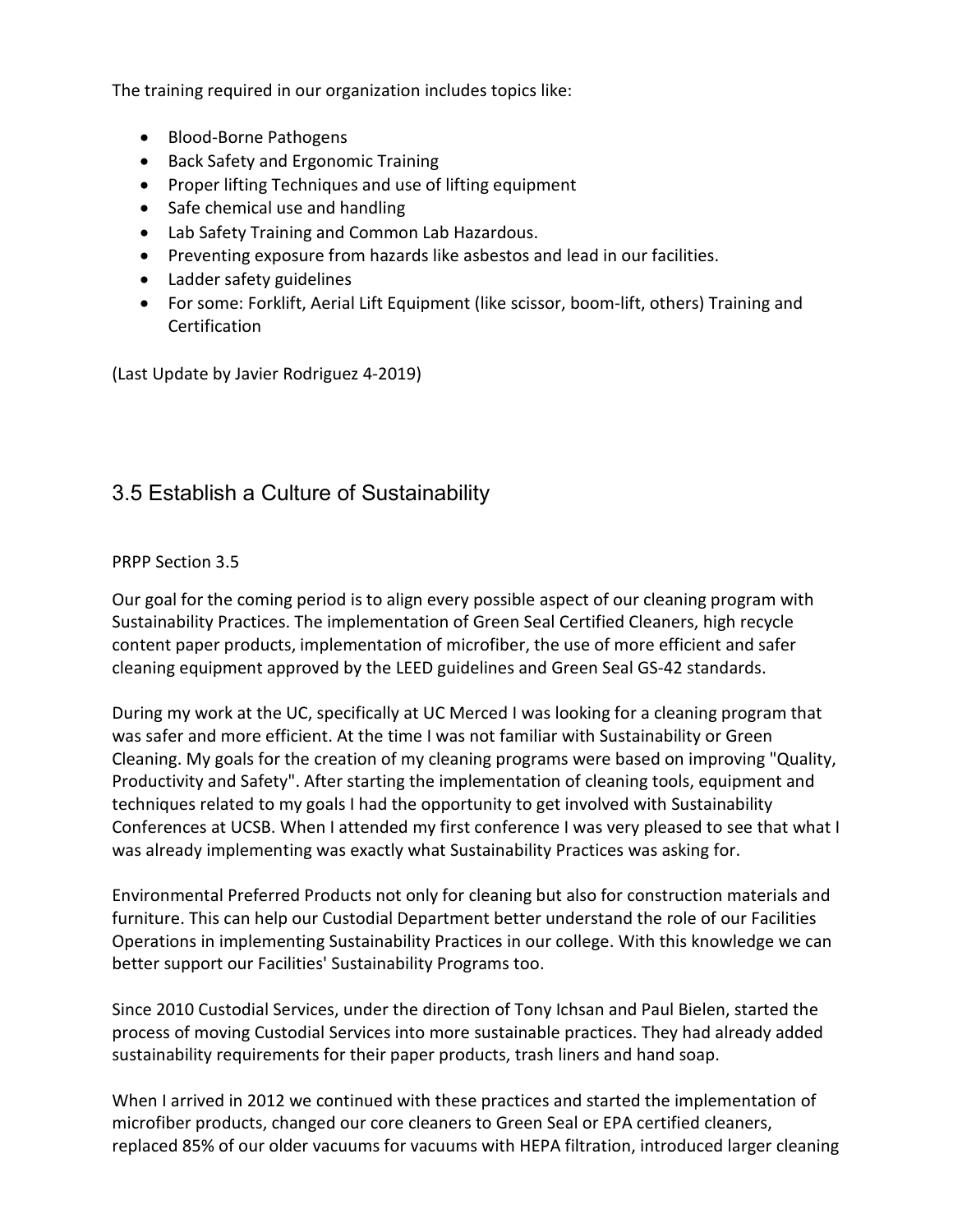The training required in our organization includes topics like:

- Blood-Borne Pathogens
- Back Safety and Ergonomic Training
- Proper lifting Techniques and use of lifting equipment
- Safe chemical use and handling
- Lab Safety Training and Common Lab Hazardous.
- Preventing exposure from hazards like asbestos and lead in our facilities.
- Ladder safety guidelines
- For some: Forklift, Aerial Lift Equipment (like scissor, boom-lift, others) Training and **Certification**

(Last Update by Javier Rodriguez 4-2019)

### 3.5 Establish a Culture of Sustainability

#### PRPP Section 3.5

Our goal for the coming period is to align every possible aspect of our cleaning program with Sustainability Practices. The implementation of Green Seal Certified Cleaners, high recycle content paper products, implementation of microfiber, the use of more efficient and safer cleaning equipment approved by the LEED guidelines and Green Seal GS-42 standards.

During my work at the UC, specifically at UC Merced I was looking for a cleaning program that was safer and more efficient. At the time I was not familiar with Sustainability or Green Cleaning. My goals for the creation of my cleaning programs were based on improving "Quality, Productivity and Safety". After starting the implementation of cleaning tools, equipment and techniques related to my goals I had the opportunity to get involved with Sustainability Conferences at UCSB. When I attended my first conference I was very pleased to see that what I was already implementing was exactly what Sustainability Practices was asking for.

Environmental Preferred Products not only for cleaning but also for construction materials and furniture. This can help our Custodial Department better understand the role of our Facilities Operations in implementing Sustainability Practices in our college. With this knowledge we can better support our Facilities' Sustainability Programs too.

Since 2010 Custodial Services, under the direction of Tony Ichsan and Paul Bielen, started the process of moving Custodial Services into more sustainable practices. They had already added sustainability requirements for their paper products, trash liners and hand soap.

When I arrived in 2012 we continued with these practices and started the implementation of microfiber products, changed our core cleaners to Green Seal or EPA certified cleaners, replaced 85% of our older vacuums for vacuums with HEPA filtration, introduced larger cleaning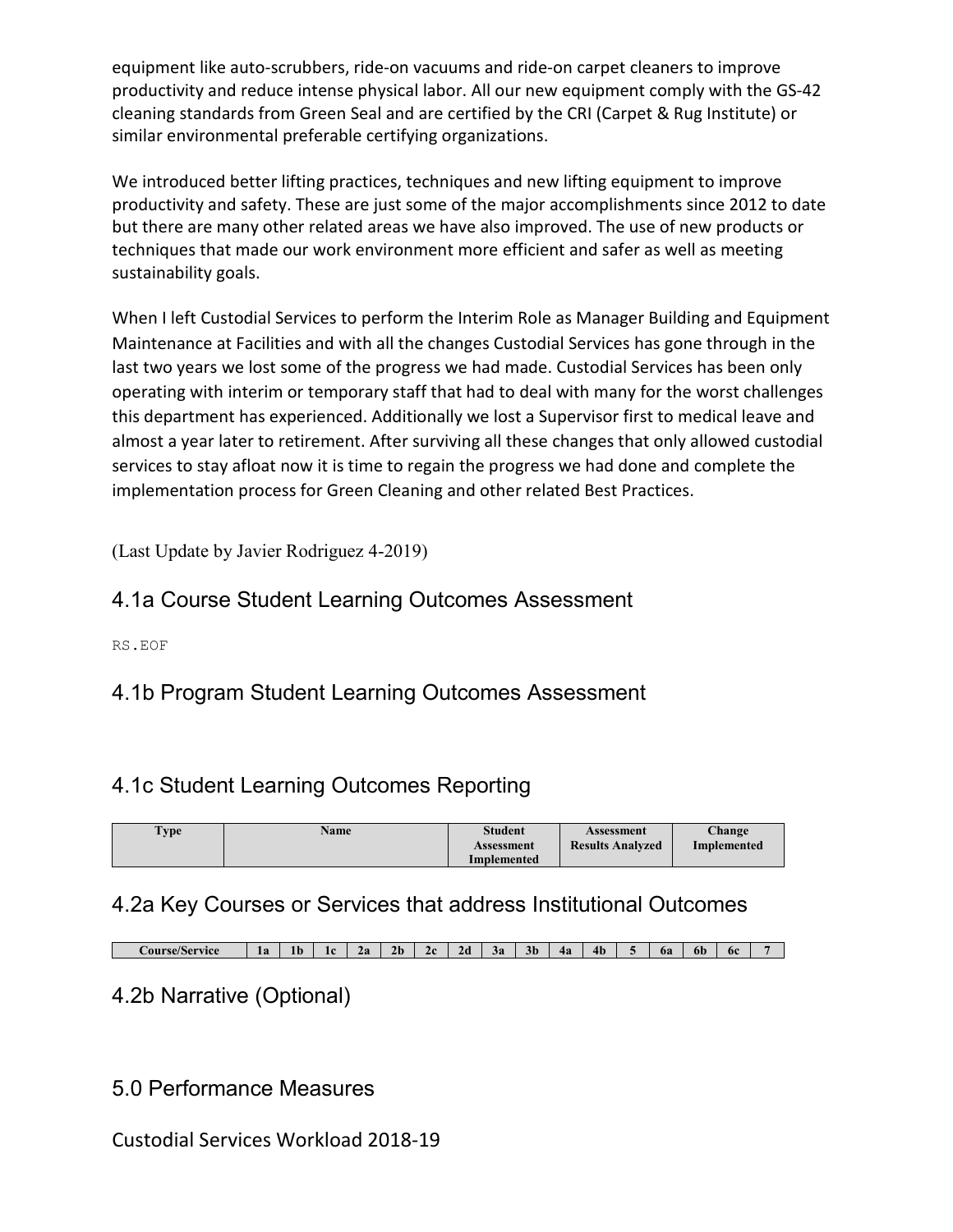equipment like auto-scrubbers, ride-on vacuums and ride-on carpet cleaners to improve productivity and reduce intense physical labor. All our new equipment comply with the GS-42 cleaning standards from Green Seal and are certified by the CRI (Carpet & Rug Institute) or similar environmental preferable certifying organizations.

We introduced better lifting practices, techniques and new lifting equipment to improve productivity and safety. These are just some of the major accomplishments since 2012 to date but there are many other related areas we have also improved. The use of new products or techniques that made our work environment more efficient and safer as well as meeting sustainability goals.

When I left Custodial Services to perform the Interim Role as Manager Building and Equipment Maintenance at Facilities and with all the changes Custodial Services has gone through in the last two years we lost some of the progress we had made. Custodial Services has been only operating with interim or temporary staff that had to deal with many for the worst challenges this department has experienced. Additionally we lost a Supervisor first to medical leave and almost a year later to retirement. After surviving all these changes that only allowed custodial services to stay afloat now it is time to regain the progress we had done and complete the implementation process for Green Cleaning and other related Best Practices.

(Last Update by Javier Rodriguez 4-2019)

### 4.1a Course Student Learning Outcomes Assessment

RS.EOF

4.1b Program Student Learning Outcomes Assessment

### 4.1c Student Learning Outcomes Reporting

| <b>Type</b> | <b>Name</b> | <b>Student</b><br>Assessment | Assessment<br><b>Results Analyzed</b> | Change<br>Implemented |
|-------------|-------------|------------------------------|---------------------------------------|-----------------------|
|             |             | Implemented                  |                                       |                       |

### 4.2a Key Courses or Services that address Institutional Outcomes

**Course/Service 1a 1b 1c 2a 2b 2c 2d 3a 3b 4a 4b 5 6a 6b 6c 7**

### 4.2b Narrative (Optional)

### 5.0 Performance Measures

Custodial Services Workload 2018-19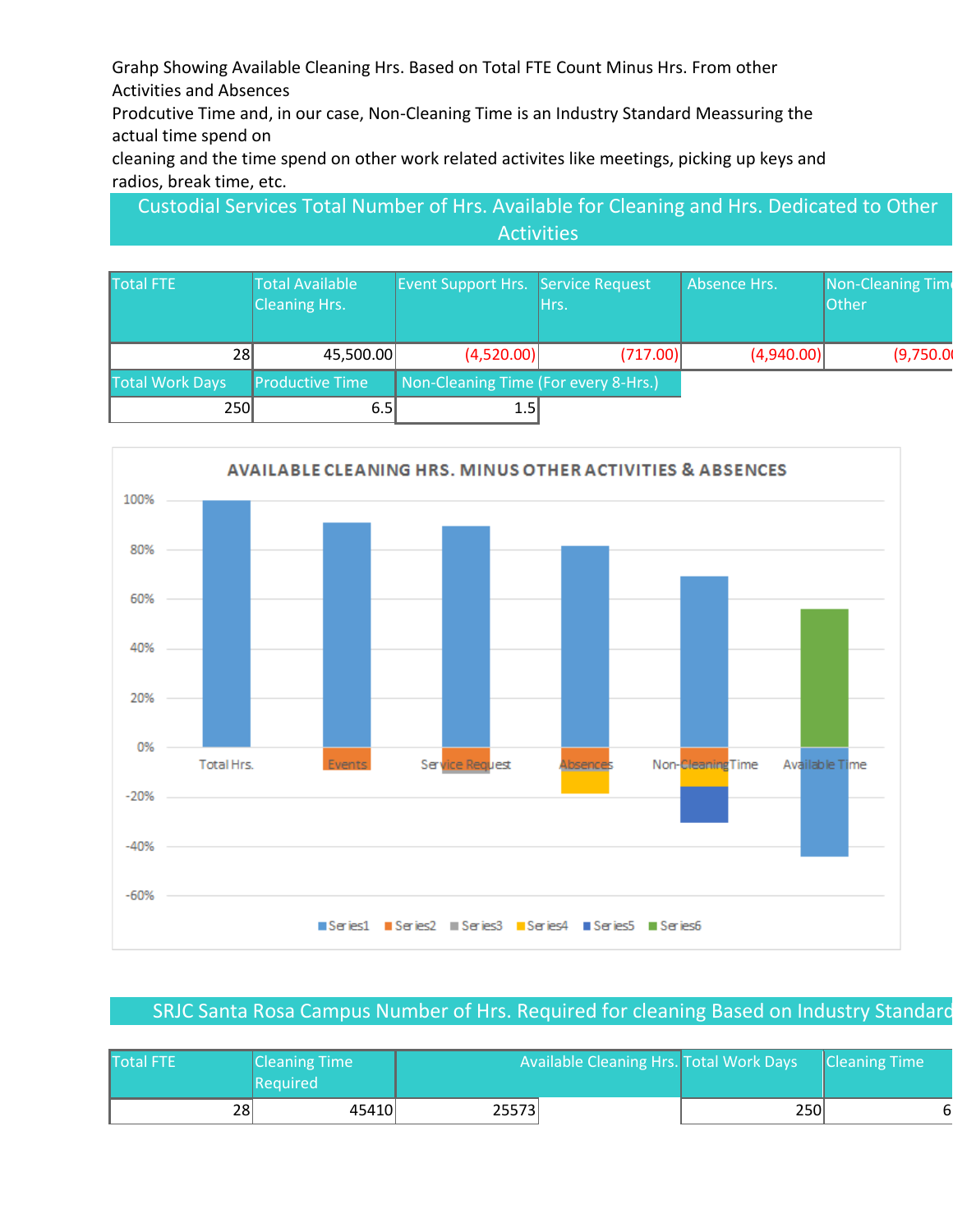Grahp Showing Available Cleaning Hrs. Based on Total FTE Count Minus Hrs. From other Activities and Absences

Prodcutive Time and, in our case, Non-Cleaning Time is an Industry Standard Meassuring the actual time spend on

cleaning and the time spend on other work related activites like meetings, picking up keys and radios, break time, etc.

Custodial Services Total Number of Hrs. Available for Cleaning and Hrs. Dedicated to Other **Activities** 

| <b>Total FTE</b>       | <b>Total Available</b><br><b>Cleaning Hrs.</b> | Event Support Hrs. Service Request   | Hrs.     | Absence Hrs. | <b>Non-Cleaning Time</b><br>Other |
|------------------------|------------------------------------------------|--------------------------------------|----------|--------------|-----------------------------------|
| 281                    | 45,500.00                                      | (4,520.00)                           | (717.00) | (4,940.00)   | (9,750.0)                         |
| <b>Total Work Days</b> | <b>Productive Time</b>                         | Non-Cleaning Time (For every 8-Hrs.) |          |              |                                   |
| 250                    | 6.5I                                           | 1.5                                  |          |              |                                   |



#### SRJC Santa Rosa Campus Number of Hrs. Required for cleaning Based on Industry Standard

| Total FTE | <b>Cleaning Time</b><br><b>Required</b> | Available Cleaning Hrs. Total Work Days |  |     | <b>Cleaning Time</b> |
|-----------|-----------------------------------------|-----------------------------------------|--|-----|----------------------|
| 28        | 45410                                   | 25573                                   |  | 250 |                      |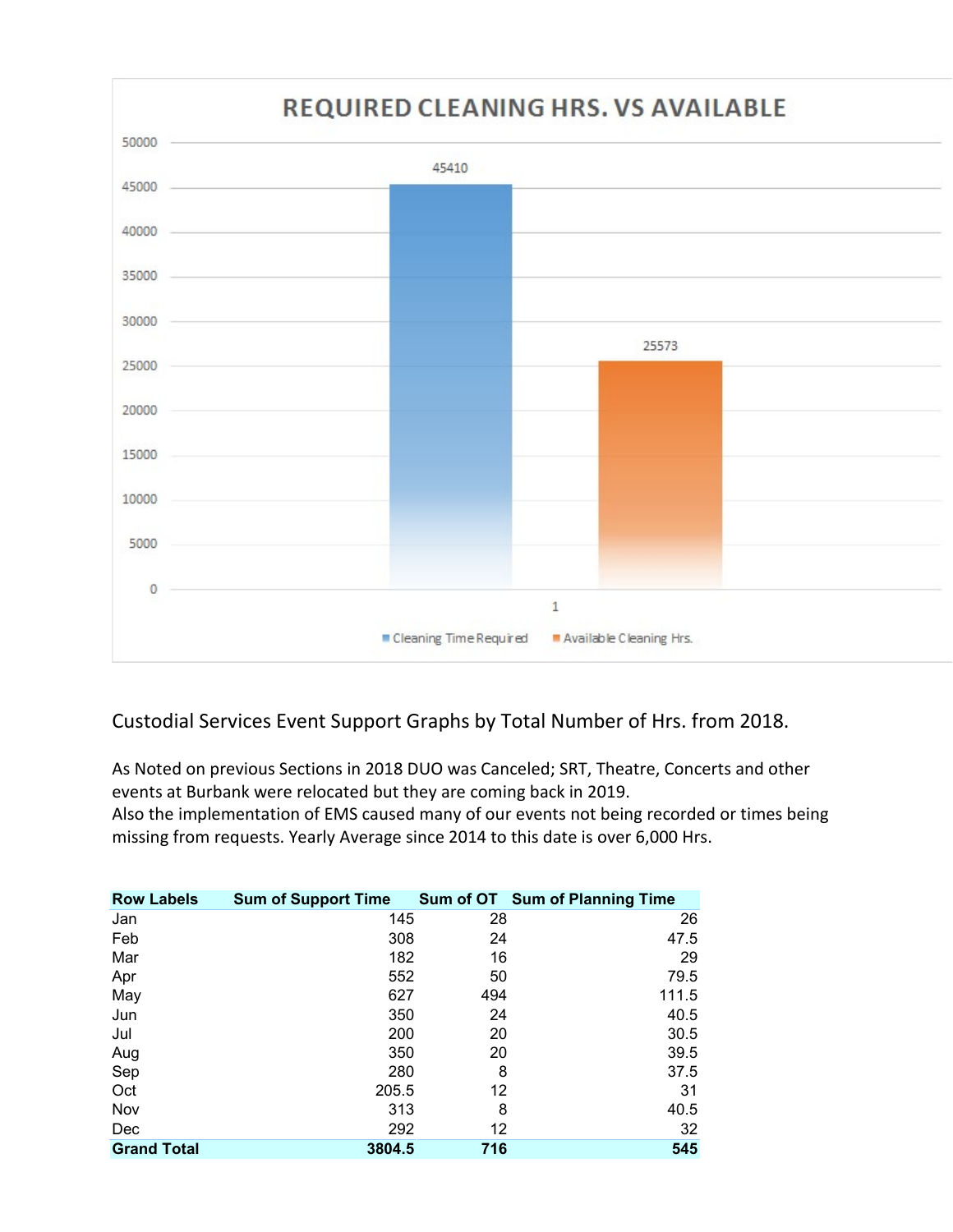

#### Custodial Services Event Support Graphs by Total Number of Hrs. from 2018.

As Noted on previous Sections in 2018 DUO was Canceled; SRT, Theatre, Concerts and other events at Burbank were relocated but they are coming back in 2019. Also the implementation of EMS caused many of our events not being recorded or times being missing from requests. Yearly Average since 2014 to this date is over 6,000 Hrs.

| <b>Row Labels</b>  | <b>Sum of Support Time</b> |     | Sum of OT Sum of Planning Time |
|--------------------|----------------------------|-----|--------------------------------|
| Jan                | 145                        | 28  | 26                             |
| Feb                | 308                        | 24  | 47.5                           |
| Mar                | 182                        | 16  | 29                             |
| Apr                | 552                        | 50  | 79.5                           |
| May                | 627                        | 494 | 111.5                          |
| Jun                | 350                        | 24  | 40.5                           |
| Jul                | 200                        | 20  | 30.5                           |
| Aug                | 350                        | 20  | 39.5                           |
| Sep                | 280                        | 8   | 37.5                           |
| Oct                | 205.5                      | 12  | 31                             |
| Nov                | 313                        | 8   | 40.5                           |
| Dec                | 292                        | 12  | 32                             |
| <b>Grand Total</b> | 3804.5                     | 716 | 545                            |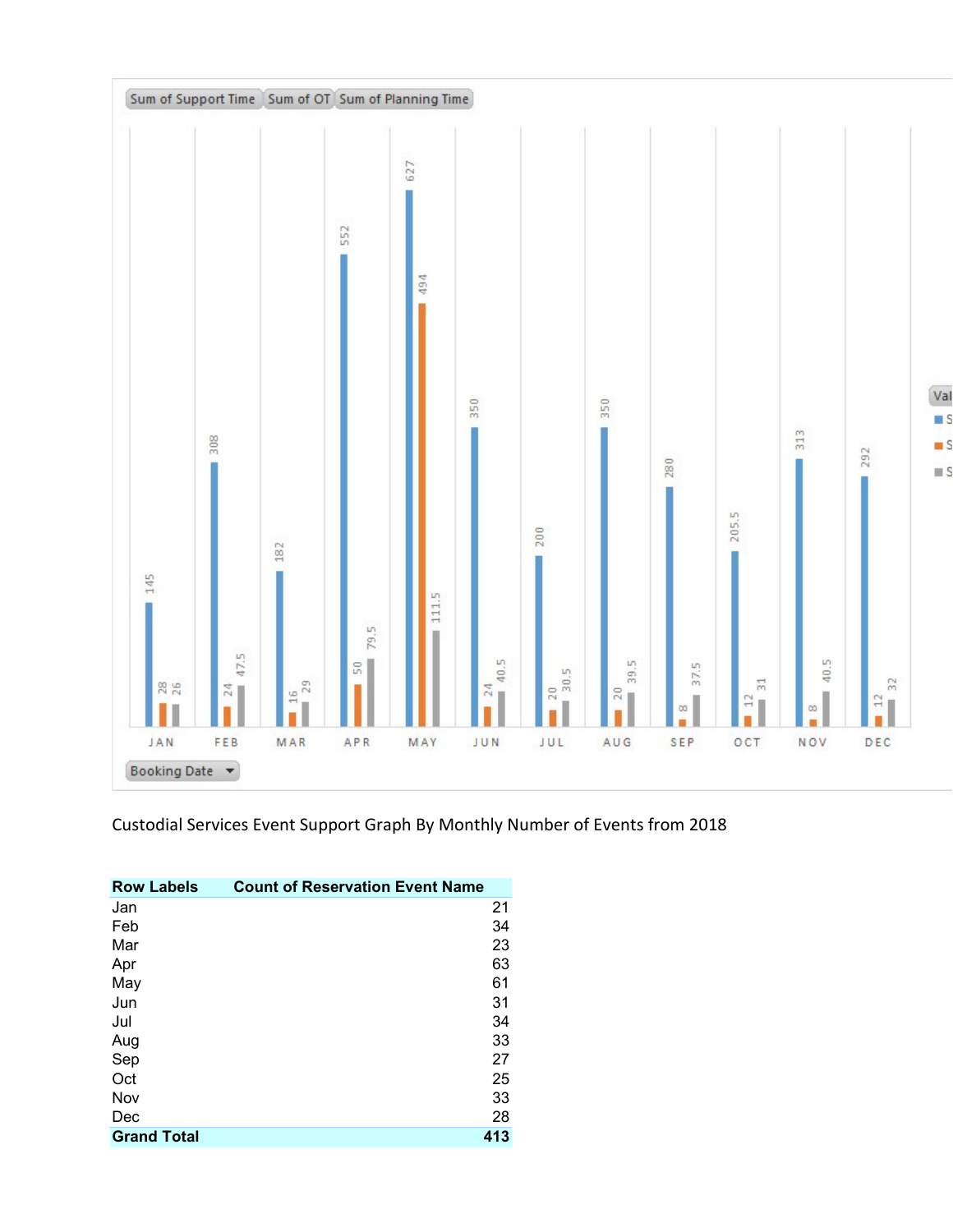

Custodial Services Event Support Graph By Monthly Number of Events from 2018

| <b>Row Labels</b>  | <b>Count of Reservation Event Name</b> |
|--------------------|----------------------------------------|
| Jan                | 21                                     |
| Feb                | 34                                     |
| Mar                | 23                                     |
| Apr                | 63                                     |
| May                | 61                                     |
| Jun                | 31                                     |
| Jul                | 34                                     |
| Aug                | 33                                     |
| Sep                | 27                                     |
| Oct                | 25                                     |
| Nov                | 33                                     |
| Dec                | 28                                     |
| <b>Grand Total</b> | 413                                    |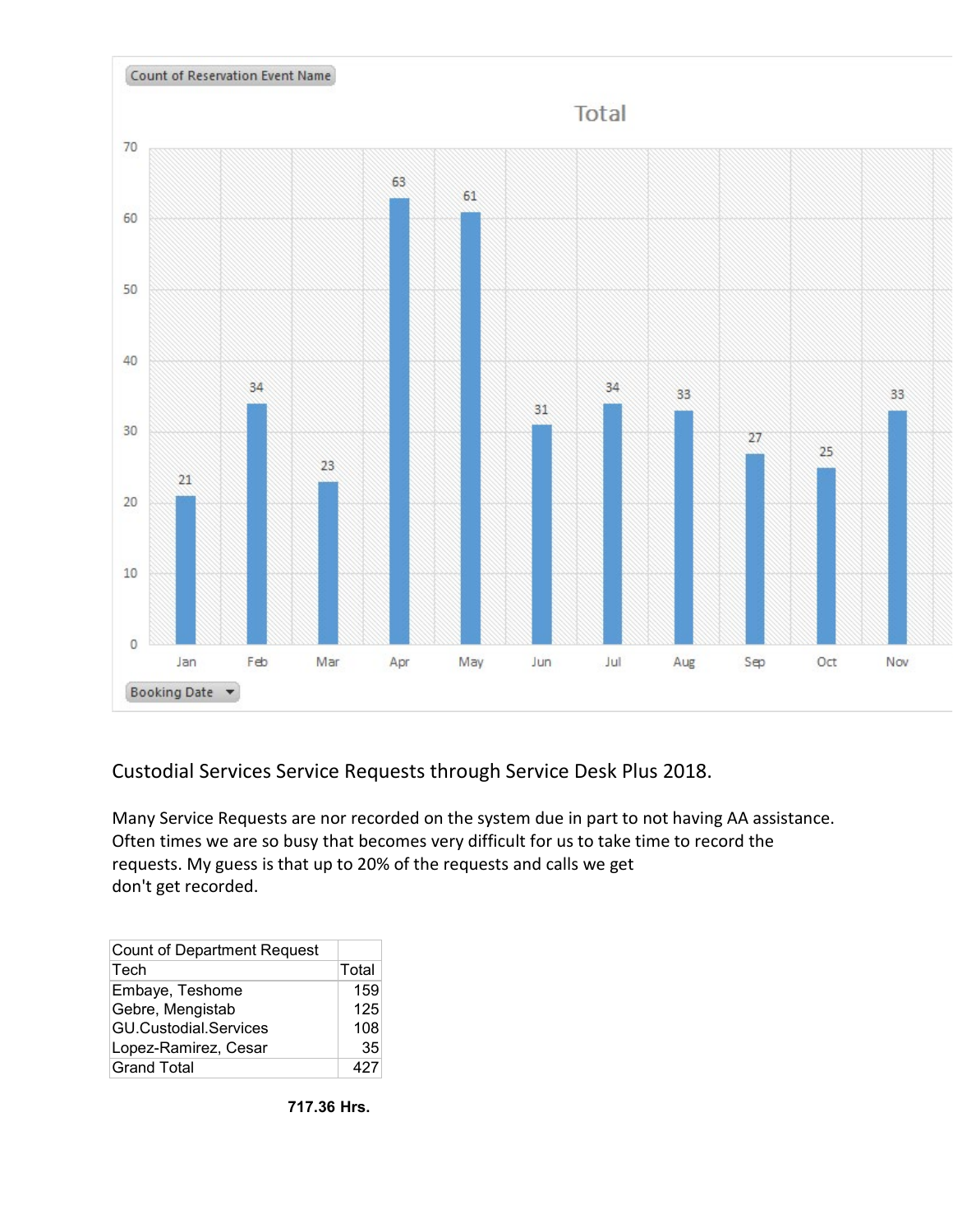

Custodial Services Service Requests through Service Desk Plus 2018.

Many Service Requests are nor recorded on the system due in part to not having AA assistance. Often times we are so busy that becomes very difficult for us to take time to record the requests. My guess is that up to 20% of the requests and calls we get don't get recorded.

| <b>Count of Department Request</b> |       |
|------------------------------------|-------|
| Tech                               | Total |
| Embaye, Teshome                    | 159   |
| Gebre, Mengistab                   | 125   |
| <b>GU.Custodial.Services</b>       | 108   |
| Lopez-Ramirez, Cesar               | 35    |
| <b>Grand Total</b>                 | 427   |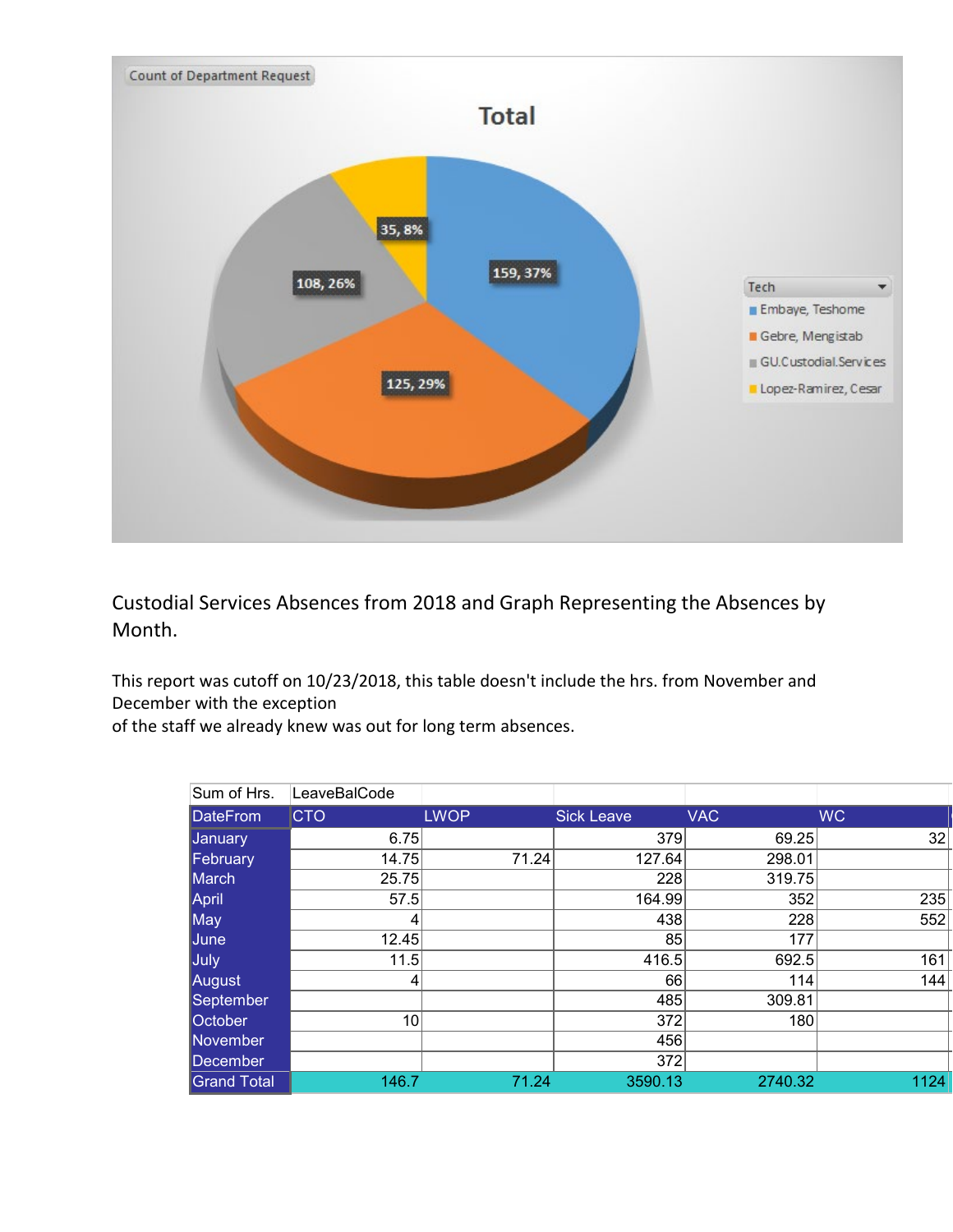

Custodial Services Absences from 2018 and Graph Representing the Absences by Month.

This report was cutoff on 10/23/2018, this table doesn't include the hrs. from November and December with the exception

of the staff we already knew was out for long term absences.

| Sum of Hrs.        | LeaveBalCode    |             |                   |            |           |
|--------------------|-----------------|-------------|-------------------|------------|-----------|
| <b>DateFrom</b>    | <b>CTO</b>      | <b>LWOP</b> | <b>Sick Leave</b> | <b>VAC</b> | <b>WC</b> |
| January            | 6.75            |             | 379               | 69.25      | 32        |
| February           | 14.75           | 71.24       | 127.64            | 298.01     |           |
| March              | 25.75           |             | 228               | 319.75     |           |
| April              | 57.5            |             | 164.99            | 352        | 235       |
| May                |                 |             | 438               | 228        | 552       |
| June               | 12.45           |             | 85                | 177        |           |
| July               | 11.5            |             | 416.5             | 692.5      | 161       |
| August             | 4               |             | 66                | 114        | 144       |
| September          |                 |             | 485               | 309.81     |           |
| <b>October</b>     | 10 <sup>1</sup> |             | 372               | 180        |           |
| November           |                 |             | 456               |            |           |
| December           |                 |             | 372               |            |           |
| <b>Grand Total</b> | 146.7           | 71.24       | 3590.13           | 2740.32    | 1124      |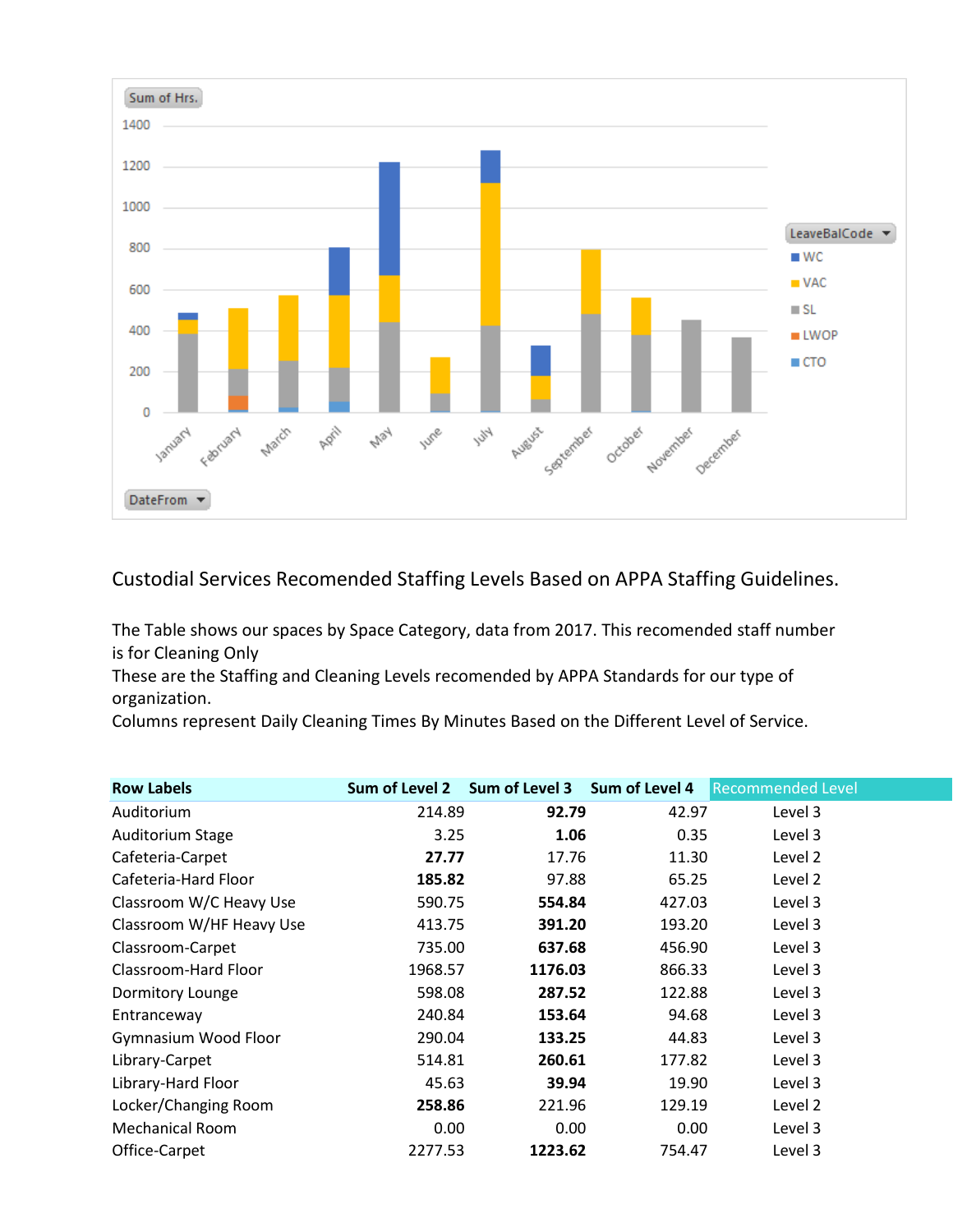

Custodial Services Recomended Staffing Levels Based on APPA Staffing Guidelines.

The Table shows our spaces by Space Category, data from 2017. This recomended staff number is for Cleaning Only

These are the Staffing and Cleaning Levels recomended by APPA Standards for our type of organization.

Columns represent Daily Cleaning Times By Minutes Based on the Different Level of Service.

| Sum of Level 2 |                                                                                                                                                          |                                                                                                                                                                                         |                                                                                           |
|----------------|----------------------------------------------------------------------------------------------------------------------------------------------------------|-----------------------------------------------------------------------------------------------------------------------------------------------------------------------------------------|-------------------------------------------------------------------------------------------|
|                | 42.97                                                                                                                                                    | Level 3                                                                                                                                                                                 |                                                                                           |
|                | 0.35                                                                                                                                                     | Level 3                                                                                                                                                                                 |                                                                                           |
|                |                                                                                                                                                          | Level 2                                                                                                                                                                                 |                                                                                           |
|                | 65.25                                                                                                                                                    | Level 2                                                                                                                                                                                 |                                                                                           |
|                | 427.03                                                                                                                                                   | Level 3                                                                                                                                                                                 |                                                                                           |
|                |                                                                                                                                                          | Level 3                                                                                                                                                                                 |                                                                                           |
|                |                                                                                                                                                          | Level 3                                                                                                                                                                                 |                                                                                           |
|                | 866.33                                                                                                                                                   | Level 3                                                                                                                                                                                 |                                                                                           |
|                |                                                                                                                                                          | Level 3                                                                                                                                                                                 |                                                                                           |
|                |                                                                                                                                                          | Level 3                                                                                                                                                                                 |                                                                                           |
|                | 44.83                                                                                                                                                    | Level 3                                                                                                                                                                                 |                                                                                           |
|                | 177.82                                                                                                                                                   | Level 3                                                                                                                                                                                 |                                                                                           |
|                |                                                                                                                                                          | Level 3                                                                                                                                                                                 |                                                                                           |
|                | 129.19                                                                                                                                                   | Level 2                                                                                                                                                                                 |                                                                                           |
|                |                                                                                                                                                          | Level 3                                                                                                                                                                                 |                                                                                           |
|                | 754.47                                                                                                                                                   | Level 3                                                                                                                                                                                 |                                                                                           |
|                | 214.89<br>3.25<br>27.77<br>185.82<br>590.75<br>413.75<br>735.00<br>1968.57<br>598.08<br>240.84<br>290.04<br>514.81<br>45.63<br>258.86<br>0.00<br>2277.53 | Sum of Level 3 Sum of Level 4<br>92.79<br>1.06<br>17.76<br>97.88<br>554.84<br>391.20<br>637.68<br>1176.03<br>287.52<br>153.64<br>133.25<br>260.61<br>39.94<br>221.96<br>0.00<br>1223.62 | <b>Recommended Level</b><br>11.30<br>193.20<br>456.90<br>122.88<br>94.68<br>19.90<br>0.00 |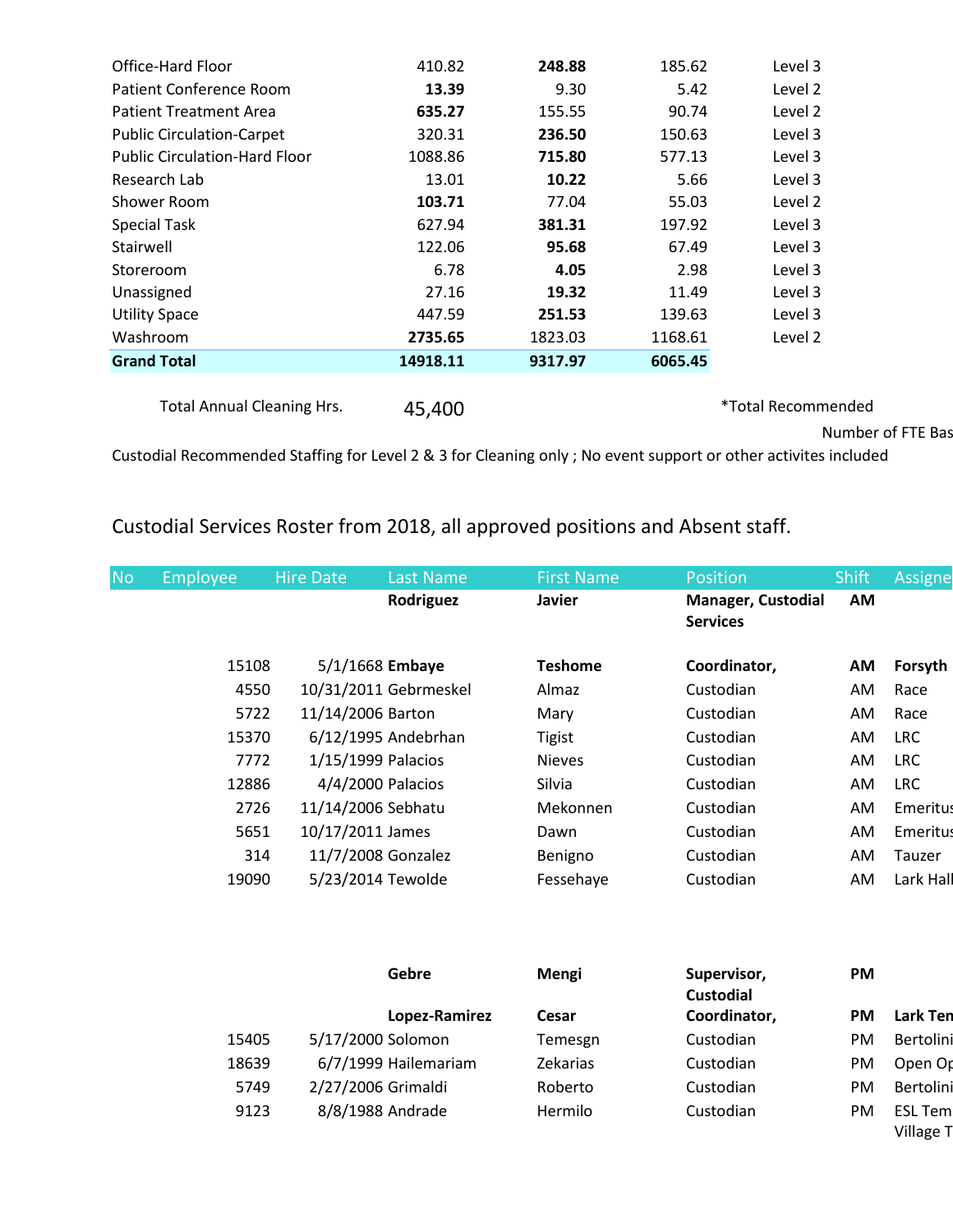| Office-Hard Floor                    | 410.82   | 248.88  | 185.62  | Level 3            |
|--------------------------------------|----------|---------|---------|--------------------|
| Patient Conference Room              | 13.39    | 9.30    | 5.42    | Level 2            |
| <b>Patient Treatment Area</b>        | 635.27   | 155.55  | 90.74   | Level 2            |
| <b>Public Circulation-Carpet</b>     | 320.31   | 236.50  | 150.63  | Level 3            |
| <b>Public Circulation-Hard Floor</b> | 1088.86  | 715.80  | 577.13  | Level 3            |
| Research Lab                         | 13.01    | 10.22   | 5.66    | Level 3            |
| Shower Room                          | 103.71   | 77.04   | 55.03   | Level 2            |
| <b>Special Task</b>                  | 627.94   | 381.31  | 197.92  | Level 3            |
| Stairwell                            | 122.06   | 95.68   | 67.49   | Level 3            |
| Storeroom                            | 6.78     | 4.05    | 2.98    | Level 3            |
| Unassigned                           | 27.16    | 19.32   | 11.49   | Level 3            |
| <b>Utility Space</b>                 | 447.59   | 251.53  | 139.63  | Level 3            |
| Washroom                             | 2735.65  | 1823.03 | 1168.61 | Level 2            |
| <b>Grand Total</b>                   | 14918.11 | 9317.97 | 6065.45 |                    |
|                                      |          |         |         |                    |
| <b>Total Annual Cleaning Hrs.</b>    | 45,400   |         |         | *Total Recommended |

Number of FTE Bas

Village T

Custodial Recommended Staffing for Level 2 & 3 for Cleaning only ; No event support or other activites included

## Custodial Services Roster from 2018, all approved positions and Absent staff.

| <b>No</b> | <b>Employee</b> | <b>Hire Date</b> | Last Name             | <b>First Name</b> | <b>Position</b>                       | <b>Shift</b> | Assigne         |
|-----------|-----------------|------------------|-----------------------|-------------------|---------------------------------------|--------------|-----------------|
|           |                 |                  | Rodriguez             | <b>Javier</b>     | Manager, Custodial<br><b>Services</b> | <b>AM</b>    |                 |
|           | 15108           |                  | $5/1/1668$ Embaye     | <b>Teshome</b>    | Coordinator,                          | AM           | Forsyth         |
|           | 4550            |                  | 10/31/2011 Gebrmeskel | Almaz             | Custodian                             | AM           | Race            |
|           | 5722            |                  | 11/14/2006 Barton     | Mary              | Custodian                             | AM           | Race            |
|           | 15370           |                  | 6/12/1995 Andebrhan   | <b>Tigist</b>     | Custodian                             | AM           | <b>LRC</b>      |
|           | 7772            |                  | 1/15/1999 Palacios    | <b>Nieves</b>     | Custodian                             | AM           | <b>LRC</b>      |
|           | 12886           |                  | 4/4/2000 Palacios     | Silvia            | Custodian                             | AM           | <b>LRC</b>      |
|           | 2726            |                  | 11/14/2006 Sebhatu    | Mekonnen          | Custodian                             | AM           | Emeritus        |
|           | 5651            |                  | 10/17/2011 James      | Dawn              | Custodian                             | AM           | Emeritus        |
|           | 314             |                  | 11/7/2008 Gonzalez    | Benigno           | Custodian                             | AM           | Tauzer          |
|           | 19090           |                  | 5/23/2014 Tewolde     | Fessehaye         | Custodian                             | AM           | Lark Hall       |
|           |                 |                  |                       |                   |                                       |              |                 |
|           |                 |                  | Gebre                 | Mengi             | Supervisor,<br><b>Custodial</b>       | PM           |                 |
|           |                 |                  | Lopez-Ramirez         | Cesar             | Coordinator,                          | PM           | <b>Lark Ten</b> |
|           | 15405           |                  | 5/17/2000 Solomon     | Temesgn           | Custodian                             | <b>PM</b>    | Bertolini       |
|           | 18639           |                  | 6/7/1999 Hailemariam  | Zekarias          | Custodian                             | PM           | Open Op         |
|           | 5749            |                  | 2/27/2006 Grimaldi    | Roberto           | Custodian                             | PM           | Bertolini       |
|           | 9123            |                  | 8/8/1988 Andrade      | Hermilo           | Custodian                             | PM           | <b>ESL Tem</b>  |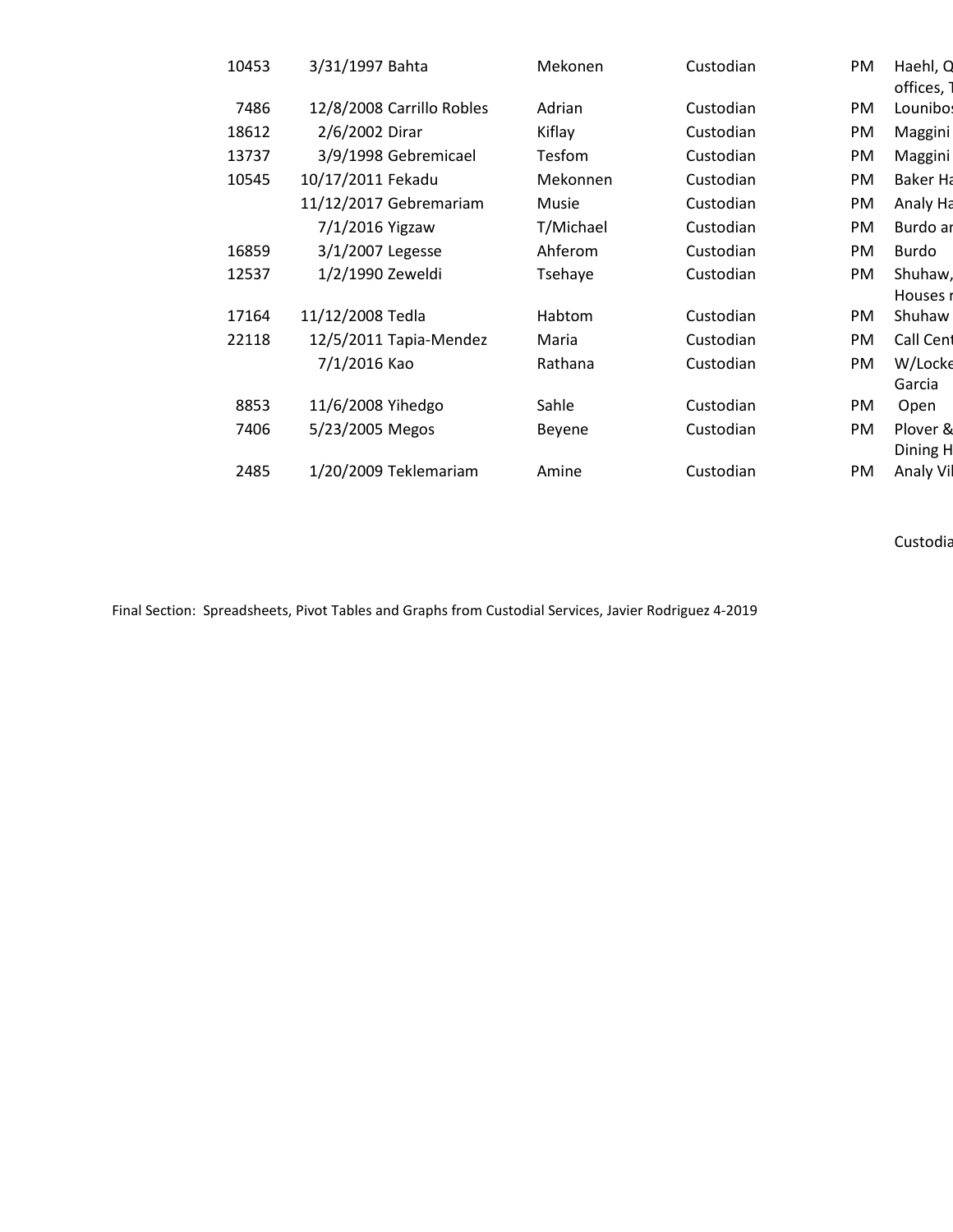| 10453 | 3/31/1997 Bahta           | Mekonen   | Custodian | <b>PM</b> | Haehl, Q        |
|-------|---------------------------|-----------|-----------|-----------|-----------------|
|       |                           |           |           |           | offices,        |
| 7486  | 12/8/2008 Carrillo Robles | Adrian    | Custodian | PM        | Lounibo:        |
| 18612 | 2/6/2002 Dirar            | Kiflay    | Custodian | PM        | Maggini         |
| 13737 | 3/9/1998 Gebremicael      | Tesfom    | Custodian | PM        | Maggini         |
| 10545 | 10/17/2011 Fekadu         | Mekonnen  | Custodian | PM        | <b>Baker Ha</b> |
|       | 11/12/2017 Gebremariam    | Musie     | Custodian | PM        | Analy Ha        |
|       | 7/1/2016 Yigzaw           | T/Michael | Custodian | PM        | Burdo ar        |
| 16859 | 3/1/2007 Legesse          | Ahferom   | Custodian | PM        | Burdo           |
| 12537 | 1/2/1990 Zeweldi          | Tsehaye   | Custodian | PM        | Shuhaw,         |
|       |                           |           |           |           | Houses i        |
| 17164 | 11/12/2008 Tedla          | Habtom    | Custodian | PM        | Shuhaw          |
| 22118 | 12/5/2011 Tapia-Mendez    | Maria     | Custodian | PM        | Call Cent       |
|       | 7/1/2016 Kao              | Rathana   | Custodian | PM        | W/Locke         |
|       |                           |           |           |           | Garcia          |
| 8853  | 11/6/2008 Yihedgo         | Sahle     | Custodian | PM        | Open            |
| 7406  | 5/23/2005 Megos           | Beyene    | Custodian | PM        | Plover &        |
|       |                           |           |           |           | Dining H        |
| 2485  | 1/20/2009 Teklemariam     | Amine     | Custodian | PM        | Analy Vil       |

Custodia

Final Section: Spreadsheets, Pivot Tables and Graphs from Custodial Services, Javier Rodriguez 4-2019